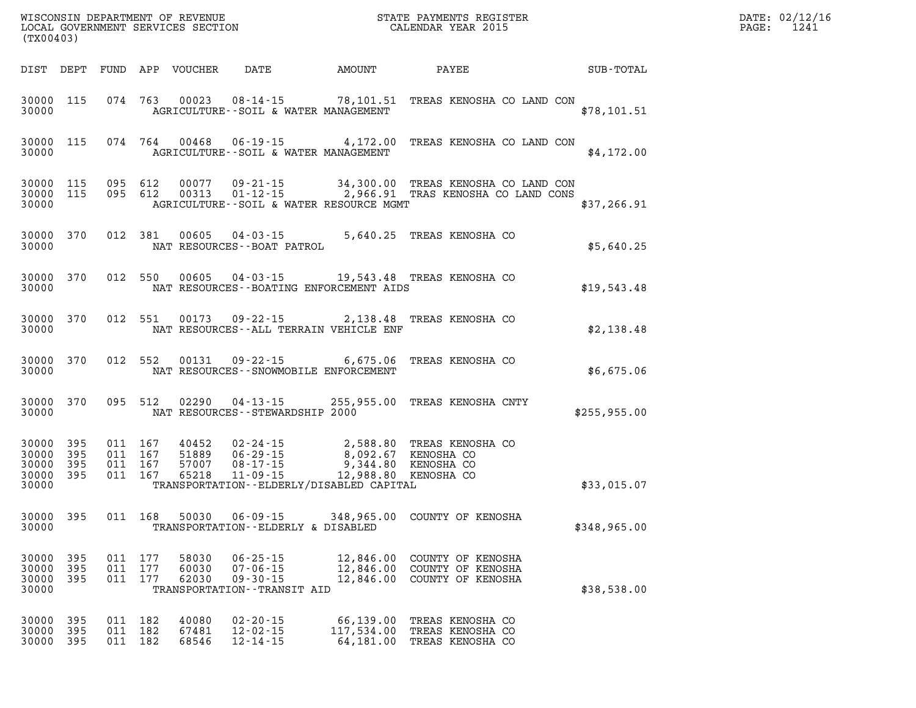| (TX00403)                                                 |                   |                               |                    |                                  |                                                                                      |                         | WISCONSIN DEPARTMENT OF REVENUE<br>LOCAL GOVERNMENT SERVICES SECTION<br>CALENDAR YEAR 2015                                          |                                               | DATE: 02/12/16<br>PAGE: 1241 |
|-----------------------------------------------------------|-------------------|-------------------------------|--------------------|----------------------------------|--------------------------------------------------------------------------------------|-------------------------|-------------------------------------------------------------------------------------------------------------------------------------|-----------------------------------------------|------------------------------|
|                                                           |                   |                               |                    | DIST DEPT FUND APP VOUCHER       |                                                                                      | DATE AMOUNT PAYEE       |                                                                                                                                     | $\operatorname{SUB}$ - $\operatorname{TOTAL}$ |                              |
| 30000                                                     | 30000 115         |                               |                    |                                  | AGRICULTURE--SOIL & WATER MANAGEMENT                                                 |                         | 074 763 00023 08-14-15 78,101.51 TREAS KENOSHA CO LAND CON                                                                          | \$78,101.51                                   |                              |
| 30000                                                     | 30000 115         |                               |                    |                                  | AGRICULTURE--SOIL & WATER MANAGEMENT                                                 |                         | 074  764  00468  06-19-15  4,172.00  TREAS KENOSHA CO LAND CON                                                                      | \$4,172.00                                    |                              |
| 30000 115<br>30000                                        | 30000 115         |                               |                    |                                  | AGRICULTURE -- SOIL & WATER RESOURCE MGMT                                            |                         | 095 612 00077 09-21-15 34,300.00 TREAS KENOSHA CO LAND CON<br>095 612 00313 01-12-15 2,966.91 TRAS KENOSHA CO LAND CONS             | \$37,266.91                                   |                              |
| 30000 370<br>30000                                        |                   |                               |                    |                                  | NAT RESOURCES - - BOAT PATROL                                                        |                         | 012 381 00605 04-03-15 5,640.25 TREAS KENOSHA CO                                                                                    | \$5,640.25                                    |                              |
| 30000                                                     | 30000 370         |                               |                    |                                  | NAT RESOURCES--BOATING ENFORCEMENT AIDS                                              |                         | 012 550 00605 04-03-15 19,543.48 TREAS KENOSHA CO                                                                                   | \$19,543.48                                   |                              |
| 30000                                                     | 30000 370         |                               |                    |                                  | NAT RESOURCES--ALL TERRAIN VEHICLE ENF                                               |                         | 012 551 00173 09-22-15 2,138.48 TREAS KENOSHA CO                                                                                    | \$2,138.48                                    |                              |
| 30000                                                     | 30000 370         |                               |                    |                                  | NAT RESOURCES - - SNOWMOBILE ENFORCEMENT                                             |                         | 012 552 00131 09-22-15 6,675.06 TREAS KENOSHA CO                                                                                    | \$6,675.06                                    |                              |
| 30000 370<br>30000                                        |                   |                               |                    |                                  | NAT RESOURCES--STEWARDSHIP 2000                                                      |                         | 095 512 02290 04-13-15 255,955.00 TREAS KENOSHA CNTY                                                                                | \$255,955.00                                  |                              |
| 30000 395<br>30000 395<br>30000 395<br>30000 395<br>30000 |                   | 011 167<br>011 167            | 011 167<br>011 167 | 40452<br>51889<br>57007<br>65218 | TRANSPORTATION - - ELDERLY/DISABLED CAPITAL                                          |                         | 02-24-15 2,588.80 TREAS KENOSHA CO<br>06-29-15 8,092.67 KENOSHA CO<br>08-17-15 9,344.80 KENOSHA CO<br>11-09-15 12,988.80 KENOSHA CO | \$33,015.07                                   |                              |
| 30000                                                     | 30000 395         |                               |                    |                                  | TRANSPORTATION--ELDERLY & DISABLED                                                   |                         | 011 168 50030 06-09-15 348,965.00 COUNTY OF KENOSHA                                                                                 | \$348,965.00                                  |                              |
| 30000 395<br>30000<br>30000<br>30000                      | 395<br>395        | 011 177<br>011 177<br>011 177 |                    | 58030<br>60030<br>62030          | $06 - 25 - 15$<br>$07 - 06 - 15$<br>$09 - 30 - 15$<br>TRANSPORTATION - - TRANSIT AID |                         | 12,846.00 COUNTY OF KENOSHA<br>12,846.00 COUNTY OF KENOSHA<br>12,846.00 COUNTY OF KENOSHA                                           | \$38,538.00                                   |                              |
| 30000<br>30000<br>30000                                   | 395<br>395<br>395 | 011 182<br>011 182            | 011 182            | 40080<br>67481<br>68546          | $02 - 20 - 15$<br>$12 - 02 - 15$<br>$12 - 14 - 15$                                   | 66,139.00<br>117,534.00 | TREAS KENOSHA CO<br>TREAS KENOSHA CO<br>64,181.00 TREAS KENOSHA CO                                                                  |                                               |                              |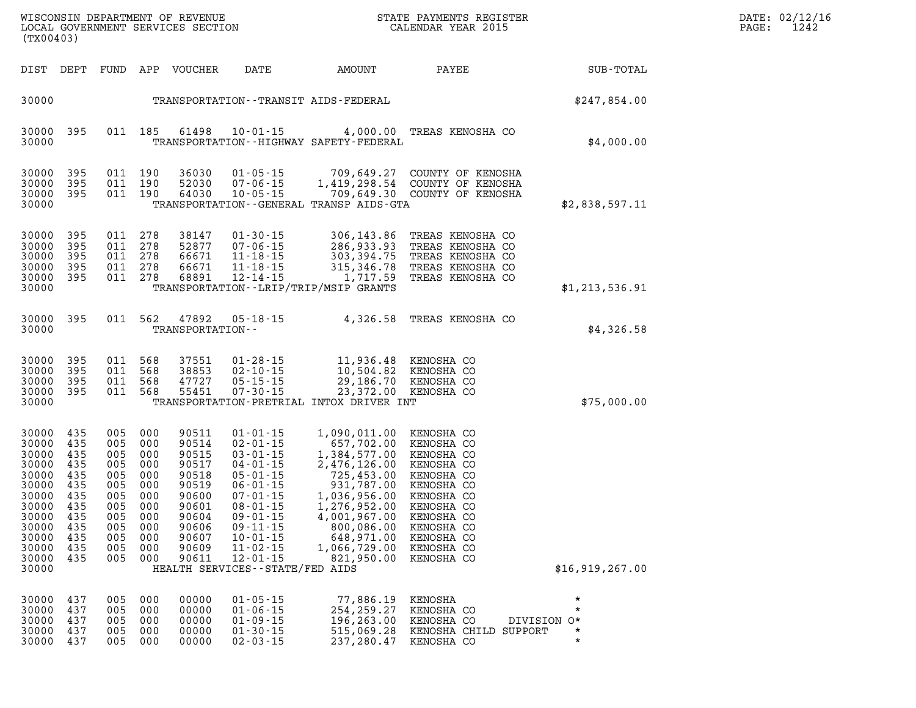| (TX00403)                                                                                                                                                                                             |                                               |                                                                                                                                 |                                                                                                                   |                                                                                                                                                                                                                                                                           |                                                                                                                                                                                                                                                                                                                                | WISCONSIN DEPARTMENT OF REVENUE<br>LOCAL GOVERNMENT SERVICES SECTION FOR THE STATE PAYMENTS REGIST<br>STATE PAYMENTS REGISTER |                                                                                                                             | DATE: 02/12/1<br>PAGE:<br>1242 |
|-------------------------------------------------------------------------------------------------------------------------------------------------------------------------------------------------------|-----------------------------------------------|---------------------------------------------------------------------------------------------------------------------------------|-------------------------------------------------------------------------------------------------------------------|---------------------------------------------------------------------------------------------------------------------------------------------------------------------------------------------------------------------------------------------------------------------------|--------------------------------------------------------------------------------------------------------------------------------------------------------------------------------------------------------------------------------------------------------------------------------------------------------------------------------|-------------------------------------------------------------------------------------------------------------------------------|-----------------------------------------------------------------------------------------------------------------------------|--------------------------------|
| DIST DEPT                                                                                                                                                                                             |                                               |                                                                                                                                 | FUND APP VOUCHER                                                                                                  | DATE                                                                                                                                                                                                                                                                      | AMOUNT                                                                                                                                                                                                                                                                                                                         |                                                                                                                               | PAYEE FOR THE STATE OF THE STATE OF THE STATE OF THE STATE OF THE STATE OF THE STATE OF THE STATE OF THE STATE<br>SUB-TOTAL |                                |
| 30000                                                                                                                                                                                                 |                                               |                                                                                                                                 |                                                                                                                   |                                                                                                                                                                                                                                                                           | TRANSPORTATION - - TRANSIT AIDS - FEDERAL                                                                                                                                                                                                                                                                                      |                                                                                                                               | \$247,854.00                                                                                                                |                                |
| 30000<br>-395<br>30000                                                                                                                                                                                |                                               | 011 185                                                                                                                         | 61498                                                                                                             | $10 - 01 - 15$                                                                                                                                                                                                                                                            | TRANSPORTATION - - HIGHWAY SAFETY - FEDERAL                                                                                                                                                                                                                                                                                    | 4,000.00 TREAS KENOSHA CO                                                                                                     | \$4,000.00                                                                                                                  |                                |
| 30000 395<br>30000<br>395<br>30000 395<br>30000                                                                                                                                                       |                                               | 011 190<br>011 190<br>011 190                                                                                                   | 36030                                                                                                             | 52030 07-06-15<br>64030 10-05-15                                                                                                                                                                                                                                          | TRANSPORTATION--GENERAL TRANSP AIDS-GTA                                                                                                                                                                                                                                                                                        | 01-05-15 709,649.27 COUNTY OF KENOSHA<br>07-06-15 1,419,298.54 COUNTY OF KENOSHA<br>10-05-15 709,649.30 COUNTY OF KENOSHA     | \$2,838,597.11                                                                                                              |                                |
| 30000<br>395<br>395<br>30000<br>30000<br>395<br>30000<br>395<br>30000 395<br>30000                                                                                                                    |                                               | 011 278<br>011 278<br>011 278<br>011 278<br>011 278                                                                             | 38147<br>52877<br>66671<br>66671<br>68891                                                                         |                                                                                                                                                                                                                                                                           | TRANSPORTATION--LRIP/TRIP/MSIP GRANTS                                                                                                                                                                                                                                                                                          |                                                                                                                               | \$1,213,536.91                                                                                                              |                                |
| 30000 395<br>30000                                                                                                                                                                                    |                                               |                                                                                                                                 | TRANSPORTATION--                                                                                                  | 011 562 47892 05-18-15                                                                                                                                                                                                                                                    |                                                                                                                                                                                                                                                                                                                                | 4,326.58 TREAS KENOSHA CO                                                                                                     | \$4,326.58                                                                                                                  |                                |
| 395<br>30000<br>395<br>30000<br>30000 395<br>30000 395<br>30000                                                                                                                                       |                                               | 011 568<br>011 568<br>011 568<br>011 568                                                                                        | 37551<br>38853<br>47727<br>55451                                                                                  | $07 - 30 - 15$                                                                                                                                                                                                                                                            | TRANSPORTATION-PRETRIAL INTOX DRIVER INT                                                                                                                                                                                                                                                                                       | 23,372.00 KENOSHA CO                                                                                                          | \$75,000.00                                                                                                                 |                                |
| 435<br>30000<br>30000<br>435<br>30000<br>435<br>30000<br>435<br>30000<br>435<br>30000<br>435<br>30000<br>435<br>30000 435<br>30000 435<br>30000 435<br>30000<br>435<br>30000<br>435<br>30000<br>30000 | 005<br>005<br>435<br>005                      | 005 000<br>005 000<br>005 000<br>005 000<br>005 000<br>005 000<br>005 000<br>005 000<br>005 000<br>005 000<br>000<br>000<br>000 | 90511<br>90514<br>90515<br>90517<br>90518<br>90519<br>90600<br>90601<br>90604<br>90606<br>90607<br>90609<br>90611 | $01 - 01 - 15$<br>$02 - 01 - 15$<br>$03 - 01 - 15$<br>$04 - 01 - 15$<br>$05 - 01 - 15$<br>$06 - 01 - 15$<br>$07 - 01 - 15$<br>$08 - 01 - 15$<br>$09 - 01 - 15$<br>$09 - 11 - 15$<br>$10 - 01 - 15$<br>$11 - 02 - 15$<br>$12 - 01 - 15$<br>HEALTH SERVICES--STATE/FED AIDS | 1,090,011.00 KENOSHA CO<br>657,702.00 KENOSHA CO<br>1,384,577.00 KENOSHA CO<br>2,476,126.00 KENOSHA CO<br>725,453.00 KENOSHA CO<br>931,787.00 KENOSHA CO<br>1,276,955.00 KENOSHA CO<br>1,276,952.00 KENOSHA CO<br>1,276,952.00 KENOSHA CO<br>4,001,967.00<br>800,086.00 KENOSHA CO<br>648,971.00<br>1,066,729.00<br>821,950.00 | KENOSHA CO<br>KENOSHA CO<br>KENOSHA CO<br>KENOSHA CO                                                                          | \$16,919,267.00                                                                                                             |                                |
| 30000<br>30000<br>30000<br>437<br>30000<br>437<br>30000<br>437                                                                                                                                        | 437<br>005<br>437<br>005<br>005<br>005<br>005 | 000<br>000<br>000<br>000<br>000                                                                                                 | 00000<br>00000<br>00000<br>00000<br>00000                                                                         | $01 - 05 - 15$<br>$01 - 06 - 15$<br>$01 - 09 - 15$<br>$01 - 30 - 15$<br>$02 - 03 - 15$                                                                                                                                                                                    | 77,886.19<br>254,259.27<br>196,263.00<br>515,069.28<br>237,280.47                                                                                                                                                                                                                                                              | KENOSHA<br>KENOSHA CO<br>KENOSHA CO<br>KENOSHA CHILD SUPPORT<br>KENOSHA CO                                                    | $\star$<br>$\star$<br>DIVISION O*<br>*<br>$\star$                                                                           |                                |

**DATE: 02/12/16<br>PAGE: 1242**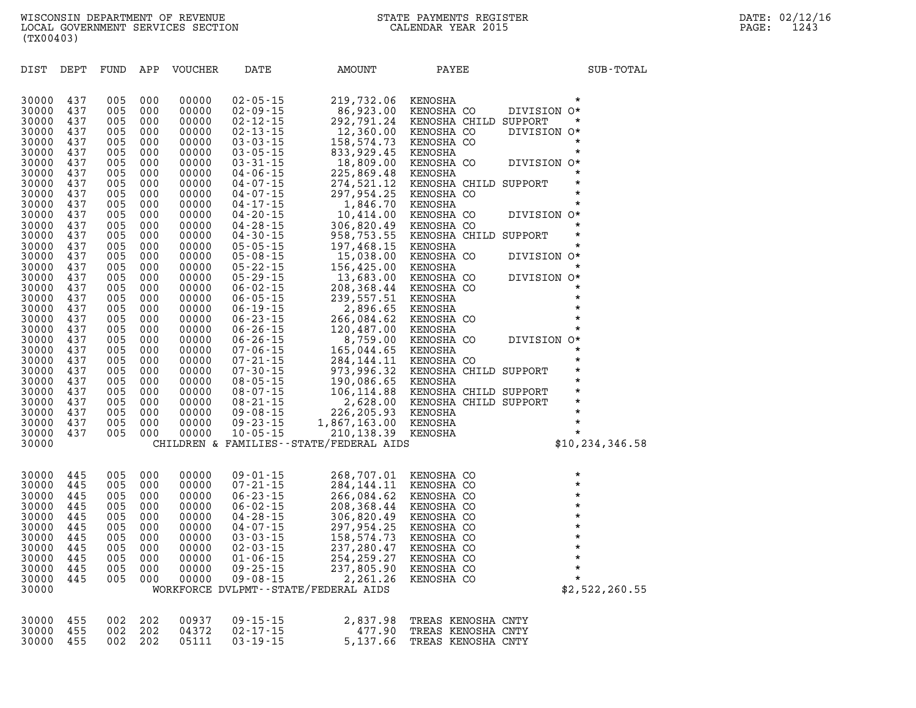| 30000          | 437        | 005        | 000        | 00000          | $02 - 05 - 15$                   | 219,732.06                                 | KENOSHA                          | *                      |
|----------------|------------|------------|------------|----------------|----------------------------------|--------------------------------------------|----------------------------------|------------------------|
| 30000          | 437        | 005        | 000        | 00000          | $02 - 09 - 15$                   | 86,923.00                                  | KENOSHA CO                       | DIVISION O*            |
| 30000          | 437        | 005        | 000        | 00000          | $02 - 12 - 15$                   | 292,791.24                                 | KENOSHA CHILD SUPPORT            | $\star$                |
| 30000          | 437        | 005        | 000        | 00000          | $02 - 13 - 15$                   | 12,360.00                                  | KENOSHA CO                       | DIVISION O*            |
| 30000          | 437        | 005        | 000        | 00000          | $03 - 03 - 15$                   | 158,574.73                                 | KENOSHA CO                       | $\star$                |
| 30000          | 437        | 005        | 000        | 00000          | $03 - 05 - 15$                   | 833,929.45                                 | KENOSHA                          | $\star$                |
| 30000          | 437        | 005        | 000        | 00000          | $03 - 31 - 15$                   | 18,809.00                                  | KENOSHA CO                       | DIVISION O*            |
| 30000          | 437        | 005        | 000        | 00000          | $04 - 06 - 15$                   | 225,869.48                                 | KENOSHA                          | $\star$                |
| 30000          | 437        | 005        | 000        | 00000          | $04 - 07 - 15$                   | 274,521.12                                 | KENOSHA CHILD SUPPORT            | $\star$                |
| 30000          | 437        | 005        | 000        | 00000          | $04 - 07 - 15$                   | 297,954.25                                 | KENOSHA CO                       | $\star$                |
| 30000          | 437        | 005        | 000        | 00000          | $04 - 17 - 15$                   | 1,846.70                                   | KENOSHA                          | $\star$                |
| 30000          | 437        | 005        | 000        | 00000          | $04 - 20 - 15$                   | 10,414.00                                  | KENOSHA CO                       | DIVISION O*            |
| 30000          | 437        | 005        | 000        | 00000          | $04 - 28 - 15$                   | 306,820.49                                 | KENOSHA CO                       | $\star$                |
| 30000          | 437        | 005        | 000        | 00000          | $04 - 30 - 15$                   | 958,753.55                                 | KENOSHA CHILD SUPPORT            | $\star$                |
| 30000          | 437        | 005        | 000        | 00000          | $05 - 05 - 15$                   | 197,468.15                                 | KENOSHA                          | $\star$                |
| 30000          | 437        | 005        | 000        | 00000          | $05 - 08 - 15$                   | 15,038.00                                  | KENOSHA CO                       | DIVISION O*            |
| 30000          | 437        | 005        | 000        | 00000          | $05 - 22 - 15$                   | 156,425.00                                 | KENOSHA                          | $\star$                |
| 30000          | 437        | 005        | 000        | 00000          | $05 - 29 - 15$                   | 13,683.00                                  | KENOSHA CO                       | DIVISION O*            |
| 30000          | 437        | 005        | 000        | 00000          | $06 - 02 - 15$                   | 208,368.44                                 | KENOSHA CO                       | $\star$                |
| 30000          | 437        | 005        | 000        | 00000          | $06 - 05 - 15$                   | 239,557.51                                 | KENOSHA                          | $\star$                |
| 30000          | 437        | 005        | 000        | 00000          | $06 - 19 - 15$                   | 2,896.65                                   | KENOSHA                          | $\star$                |
| 30000          | 437        | 005        | 000        | 00000          | $06 - 23 - 15$                   | 266,084.62                                 | KENOSHA CO                       | $\star$                |
| 30000          | 437        | 005        | 000        | 00000          | $06 - 26 - 15$                   | 120,487.00                                 | KENOSHA                          | $\star$                |
| 30000          | 437        | 005        | 000        | 00000          | $06 - 26 - 15$                   | 8,759.00                                   | KENOSHA CO                       | DIVISION O*<br>$\star$ |
| 30000          | 437        | 005        | 000        | 00000          | $07 - 06 - 15$                   | 165,044.65                                 | KENOSHA                          | $\star$                |
| 30000          | 437<br>437 | 005<br>005 | 000<br>000 | 00000<br>00000 | $07 - 21 - 15$<br>$07 - 30 - 15$ | 284, 144. 11                               | KENOSHA CO                       | $\star$                |
| 30000<br>30000 | 437        | 005        | 000        | 00000          | $08 - 05 - 15$                   | 973,996.32<br>190,086.65                   | KENOSHA CHILD SUPPORT<br>KENOSHA | $\star$                |
| 30000          | 437        | 005        | 000        | 00000          | $08 - 07 - 15$                   | 106,114.88                                 | KENOSHA CHILD SUPPORT            | $\star$                |
| 30000          | 437        | 005        | 000        | 00000          | $08 - 21 - 15$                   | 2,628.00                                   | KENOSHA CHILD SUPPORT            | $\star$                |
| 30000          | 437        | 005        | 000        | 00000          | $09 - 08 - 15$                   | 226,205.93                                 | KENOSHA                          | $\star$                |
| 30000          | 437        | 005        | 000        | 00000          | $09 - 23 - 15$                   | 1,867,163.00                               | KENOSHA                          | $\star$                |
| 30000          | 437        | 005        | 000        | 00000          | $10 - 05 - 15$                   | 210,138.39                                 | KENOSHA                          | $\star$                |
| 30000          |            |            |            |                |                                  | CHILDREN & FAMILIES - - STATE/FEDERAL AIDS |                                  | \$10, 234, 346.58      |
|                |            |            |            |                |                                  |                                            |                                  |                        |
| 30000          | 445        | 005        | 000        | 00000          | $09 - 01 - 15$                   | 268,707.01                                 | KENOSHA CO                       | $\star$                |
| 30000          | 445        | 005        | 000        | 00000          | $07 - 21 - 15$                   | 284, 144. 11                               | KENOSHA CO                       | $\star$                |
| 30000          | 445        | 005        | 000        | 00000          | $06 - 23 - 15$                   | 266,084.62                                 | KENOSHA CO                       | $\star$                |
| 30000          | 445        | 005        | 000        | 00000          | $06 - 02 - 15$                   | 208,368.44                                 | KENOSHA CO                       | $\star$                |
| 30000          | 445        | 005        | 000        | 00000          | $04 - 28 - 15$                   |                                            | KENOSHA CO                       | $\star$                |
| 30000          | 445        | 005        | 000        | 00000          | $04 - 07 - 15$                   | 306,820.49<br>297,954.25                   | KENOSHA CO                       | $\star$                |
| 30000          | 445        | 005        | 000        | 00000          | $03 - 03 - 15$                   | 158,574.73                                 | KENOSHA CO                       | $\star$                |
| 30000          | 445        | 005        | 000        | 00000          | $02 - 03 - 15$                   | 237,280.47                                 | KENOSHA CO                       | $\star$                |
| 30000          | 445        | 005        | 000        | 00000          | $01 - 06 - 15$                   | 254, 259. 27                               | KENOSHA CO                       | $\star$                |
| 30000          | 445        | 005        | 000        | 00000          | $09 - 25 - 15$                   | 237,805.90                                 | KENOSHA CO                       | $\star$                |
| 30000          | 445        | 005        | 000        | 00000          | $09 - 08 - 15$                   | 2,261.26                                   | KENOSHA CO                       | $\star$                |
| 30000          |            |            |            |                |                                  | WORKFORCE DVLPMT--STATE/FEDERAL AIDS       |                                  | \$2,522,260.55         |
|                |            |            |            |                |                                  |                                            |                                  |                        |
|                |            |            |            |                |                                  |                                            |                                  |                        |

DIST DEPT FUND APP VOUCHER DATE AMOUNT PAYEE **PAYEE** SUB-TOTAL

|  |  | 30000 455 002 202 00937 09-15-15 | 2,837.98 TREAS KENOSHA CNTY |  |  |
|--|--|----------------------------------|-----------------------------|--|--|
|  |  | 30000 455 002 202 04372 02-17-15 | 477.90 TREAS KENOSHA CNTY   |  |  |
|  |  | 30000 455 002 202 05111 03-19-15 | 5,137.66 TREAS KENOSHA CNTY |  |  |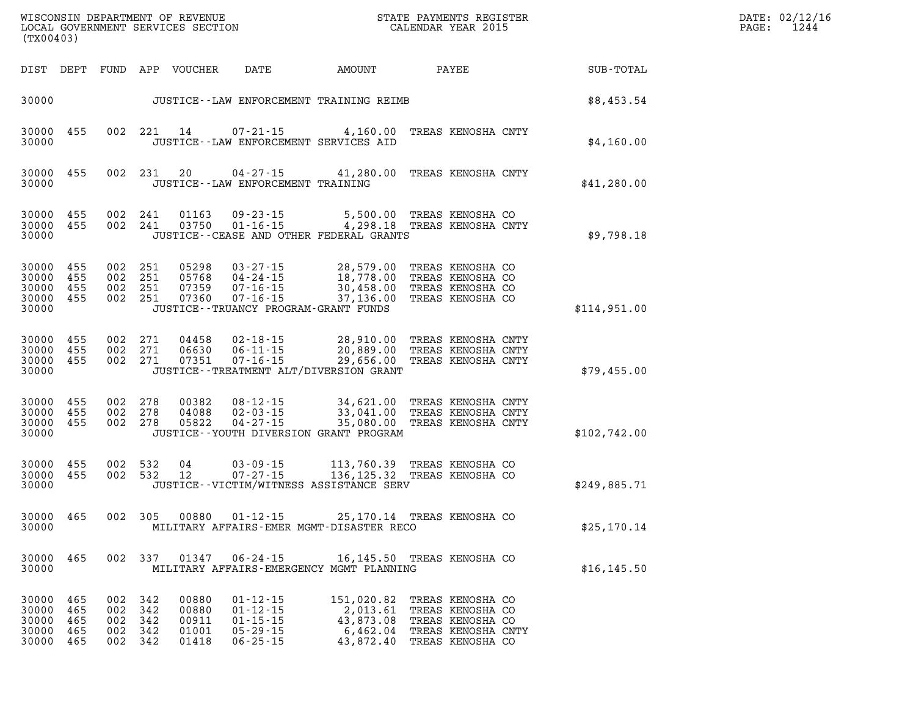| (TX00403)                                         |                                 |                                          |                   | WISCONSIN DEPARTMENT OF REVENUE<br>LOCAL GOVERNMENT SERVICES SECTION |                                                                                           | STATE PAYMENTS REGISTER<br>CALENDAR YEAR 2015                                                                                             |                                                                                                    |              | PAGE: | DATE: 02/12/16<br>1244 |
|---------------------------------------------------|---------------------------------|------------------------------------------|-------------------|----------------------------------------------------------------------|-------------------------------------------------------------------------------------------|-------------------------------------------------------------------------------------------------------------------------------------------|----------------------------------------------------------------------------------------------------|--------------|-------|------------------------|
| DIST DEPT                                         |                                 |                                          |                   | FUND APP VOUCHER                                                     | DATE                                                                                      | AMOUNT                                                                                                                                    | PAYEE                                                                                              | SUB-TOTAL    |       |                        |
| 30000                                             |                                 |                                          |                   |                                                                      |                                                                                           | JUSTICE--LAW ENFORCEMENT TRAINING REIMB                                                                                                   |                                                                                                    | \$8,453.54   |       |                        |
| 30000<br>30000                                    | 455                             |                                          | 002 221           | 14                                                                   | 07-21-15<br>JUSTICE -- LAW ENFORCEMENT SERVICES AID                                       | 4,160.00                                                                                                                                  | TREAS KENOSHA CNTY                                                                                 | \$4,160.00   |       |                        |
| 30000 455<br>30000                                |                                 |                                          | 002 231           | 20                                                                   | 04-27-15<br>JUSTICE - - LAW ENFORCEMENT TRAINING                                          | 41,280.00                                                                                                                                 | TREAS KENOSHA CNTY                                                                                 | \$41,280.00  |       |                        |
| 30000 455<br>30000 455<br>30000                   |                                 | 002 241<br>002 241                       |                   |                                                                      |                                                                                           | 01163  09-23-15  5,500.00 TREAS KENOSHA CO<br>03750  01-16-15  4,298.18 TREAS KENOSHA CNTY<br>JUSTICE - - CEASE AND OTHER FEDERAL GRANTS  |                                                                                                    | \$9,798.18   |       |                        |
| 30000 455<br>30000<br>30000<br>30000 455<br>30000 | 455<br>455                      | 002 251<br>002 251<br>002 251<br>002 251 |                   | 05298<br>05768<br>07359<br>07360                                     | 04-24-15<br>$07 - 16 - 15$<br>$07 - 16 - 15$<br>JUSTICE - - TRUANCY PROGRAM - GRANT FUNDS | $03 - 27 - 15$ 28,579.00<br>18,778.00<br>30,458.00<br>37,136.00                                                                           | TREAS KENOSHA CO<br>TREAS KENOSHA CO<br>TREAS KENOSHA CO<br>TREAS KENOSHA CO                       | \$114,951.00 |       |                        |
| 30000 455<br>30000 455<br>30000 455<br>30000      |                                 | 002 271<br>002 271<br>002 271            |                   | 04458<br>06630<br>07351                                              | $02 - 18 - 15$<br>06-11-15<br>07-16-15                                                    | 28,910.00 TREAS KENOSHA CNTY<br>20,889.00 TREAS KENOSHA CNTY<br>29,656.00 TREAS KENOSHA CNTY<br>JUSTICE - - TREATMENT ALT/DIVERSION GRANT |                                                                                                    | \$79,455.00  |       |                        |
| 30000<br>30000<br>30000 455<br>30000              | 455<br>455                      | 002 278<br>002<br>002 278                | 278               | 00382<br>04088<br>05822                                              | 08-12-15<br>$02 - 03 - 15$<br>$04 - 27 - 15$                                              | 34,621.00 TREAS KENOSHA CNTY<br>33,041.00 TREAS KENOSHA CNTY<br>35,080.00 TREAS KENOSHA CULL<br>JUSTICE -- YOUTH DIVERSION GRANT PROGRAM  |                                                                                                    | \$102,742.00 |       |                        |
| 30000 455<br>30000 455<br>30000                   |                                 | 002<br>002                               | 532<br>532        | 04<br>- 12                                                           | 03-09-15<br>$07 - 27 - 15$                                                                | 113,760.39 TREAS KENOSHA CO<br>136,125.32 TREAS KENOSHA CO<br>JUSTICE - - VICTIM/WITNESS ASSISTANCE SERV                                  |                                                                                                    | \$249,885.71 |       |                        |
| 30000 465<br>30000                                |                                 | 002 305                                  |                   | 00880                                                                | 01-12-15                                                                                  | 25,170.14 TREAS KENOSHA CO<br>MILITARY AFFAIRS-EMER MGMT-DISASTER RECO                                                                    |                                                                                                    | \$25, 170.14 |       |                        |
| 30000<br>30000                                    | 465                             |                                          | 002 337           | 01347                                                                | $06 - 24 - 15$                                                                            | 16,145.50 TREAS KENOSHA CO<br>MILITARY AFFAIRS-EMERGENCY MGMT PLANNING                                                                    |                                                                                                    | \$16, 145.50 |       |                        |
| 30000<br>30000<br>30000<br>30000<br>30000         | 465<br>465<br>465<br>465<br>465 | 002 342<br>002<br>002<br>002<br>002 342  | 342<br>342<br>342 | 00880<br>00880<br>00911<br>01001<br>01418                            | $01 - 12 - 15$<br>$01 - 12 - 15$<br>$01 - 15 - 15$<br>$05 - 29 - 15$<br>$06 - 25 - 15$    | 151,020.82<br>2,013.61<br>43,873.08<br>6,462.04<br>43,872.40                                                                              | TREAS KENOSHA CO<br>TREAS KENOSHA CO<br>TREAS KENOSHA CO<br>TREAS KENOSHA CNTY<br>TREAS KENOSHA CO |              |       |                        |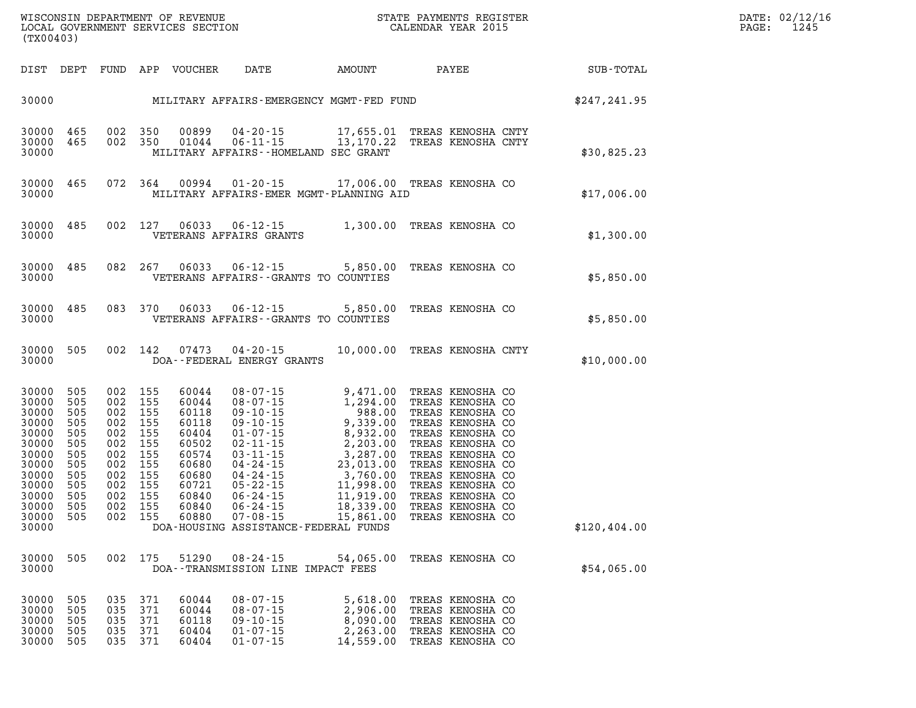| $\texttt{DATE}$ : | 02/12/16 |
|-------------------|----------|
| PAGE:             | 1245     |

| DIST                                                                                                                       | DEPT                                                                                    | FUND                                                                                    | APP                                                                                     | VOUCHER                                                                                                           | DATE                                                                                                                                                                                                                                   | AMOUNT                                                                                                                                                                                              | PAYEE                                                                                                                                                                                                                                                            | SUB-TOTAL    |
|----------------------------------------------------------------------------------------------------------------------------|-----------------------------------------------------------------------------------------|-----------------------------------------------------------------------------------------|-----------------------------------------------------------------------------------------|-------------------------------------------------------------------------------------------------------------------|----------------------------------------------------------------------------------------------------------------------------------------------------------------------------------------------------------------------------------------|-----------------------------------------------------------------------------------------------------------------------------------------------------------------------------------------------------|------------------------------------------------------------------------------------------------------------------------------------------------------------------------------------------------------------------------------------------------------------------|--------------|
| 30000                                                                                                                      |                                                                                         |                                                                                         |                                                                                         |                                                                                                                   |                                                                                                                                                                                                                                        | MILITARY AFFAIRS-EMERGENCY MGMT-FED FUND                                                                                                                                                            |                                                                                                                                                                                                                                                                  | \$247,241.95 |
| 30000<br>30000<br>30000                                                                                                    | 465<br>465                                                                              | 002<br>002                                                                              | 350<br>350                                                                              | 00899<br>01044                                                                                                    | $04 - 20 - 15$<br>$06 - 11 - 15$                                                                                                                                                                                                       | 17,655.01<br>13,170.22<br>MILITARY AFFAIRS--HOMELAND SEC GRANT                                                                                                                                      | TREAS KENOSHA CNTY<br>TREAS KENOSHA CNTY                                                                                                                                                                                                                         | \$30,825.23  |
| 30000<br>30000                                                                                                             | 465                                                                                     | 072                                                                                     | 364                                                                                     | 00994                                                                                                             | $01 - 20 - 15$                                                                                                                                                                                                                         | 17,006.00<br>MILITARY AFFAIRS-EMER MGMT-PLANNING AID                                                                                                                                                | TREAS KENOSHA CO                                                                                                                                                                                                                                                 | \$17,006.00  |
| 30000<br>30000                                                                                                             | 485                                                                                     | 002                                                                                     | 127                                                                                     | 06033                                                                                                             | $06 - 12 - 15$<br>VETERANS AFFAIRS GRANTS                                                                                                                                                                                              | 1,300.00                                                                                                                                                                                            | TREAS KENOSHA CO                                                                                                                                                                                                                                                 | \$1,300.00   |
| 30000<br>30000                                                                                                             | 485                                                                                     | 082                                                                                     | 267                                                                                     | 06033                                                                                                             | $06 - 12 - 15$                                                                                                                                                                                                                         | 5,850.00<br>VETERANS AFFAIRS -- GRANTS TO COUNTIES                                                                                                                                                  | TREAS KENOSHA CO                                                                                                                                                                                                                                                 | \$5,850.00   |
| 30000<br>30000                                                                                                             | 485                                                                                     | 083                                                                                     | 370                                                                                     | 06033                                                                                                             | $06 - 12 - 15$                                                                                                                                                                                                                         | 5,850.00<br>VETERANS AFFAIRS -- GRANTS TO COUNTIES                                                                                                                                                  | TREAS KENOSHA CO                                                                                                                                                                                                                                                 | \$5,850.00   |
| 30000<br>30000                                                                                                             | 505                                                                                     | 002                                                                                     | 142                                                                                     | 07473                                                                                                             | $04 - 20 - 15$<br>DOA--FEDERAL ENERGY GRANTS                                                                                                                                                                                           | 10,000.00                                                                                                                                                                                           | TREAS KENOSHA CNTY                                                                                                                                                                                                                                               | \$10,000.00  |
| 30000<br>30000<br>30000<br>30000<br>30000<br>30000<br>30000<br>30000<br>30000<br>30000<br>30000<br>30000<br>30000<br>30000 | 505<br>505<br>505<br>505<br>505<br>505<br>505<br>505<br>505<br>505<br>505<br>505<br>505 | 002<br>002<br>002<br>002<br>002<br>002<br>002<br>002<br>002<br>002<br>002<br>002<br>002 | 155<br>155<br>155<br>155<br>155<br>155<br>155<br>155<br>155<br>155<br>155<br>155<br>155 | 60044<br>60044<br>60118<br>60118<br>60404<br>60502<br>60574<br>60680<br>60680<br>60721<br>60840<br>60840<br>60880 | $08 - 07 - 15$<br>$08 - 07 - 15$<br>$09 - 10 - 15$<br>$09 - 10 - 15$<br>$01 - 07 - 15$<br>$02 - 11 - 15$<br>$03 - 11 - 15$<br>$04 - 24 - 15$<br>$04 - 24 - 15$<br>$05 - 22 - 15$<br>$06 - 24 - 15$<br>$06 - 24 - 15$<br>$07 - 08 - 15$ | 9,471.00<br>1,294.00<br>988.00<br>9,339.00<br>8,932.00<br>2,203.00<br>3,287.00<br>23,013.00<br>3,760.00<br>11,998.00<br>11,919.00<br>18,339.00<br>15,861.00<br>DOA-HOUSING ASSISTANCE-FEDERAL FUNDS | TREAS KENOSHA CO<br>TREAS KENOSHA CO<br>TREAS KENOSHA CO<br>TREAS KENOSHA CO<br>TREAS KENOSHA CO<br>TREAS KENOSHA CO<br>TREAS KENOSHA CO<br>TREAS KENOSHA CO<br>TREAS KENOSHA CO<br>TREAS KENOSHA CO<br>TREAS KENOSHA CO<br>TREAS KENOSHA CO<br>TREAS KENOSHA CO | \$120,404.00 |
| 30000<br>30000                                                                                                             | 505                                                                                     | 002                                                                                     | 175                                                                                     | 51290                                                                                                             | $08 - 24 - 15$<br>DOA--TRANSMISSION LINE IMPACT FEES                                                                                                                                                                                   | 54,065.00                                                                                                                                                                                           | TREAS KENOSHA CO                                                                                                                                                                                                                                                 | \$54,065.00  |
| 30000<br>30000<br>30000<br>30000<br>30000                                                                                  | 505<br>505<br>505<br>505<br>505                                                         | 035<br>035<br>035<br>035<br>035                                                         | 371<br>371<br>371<br>371<br>371                                                         | 60044<br>60044<br>60118<br>60404<br>60404                                                                         | $08 - 07 - 15$<br>$08 - 07 - 15$<br>$09 - 10 - 15$<br>$01 - 07 - 15$<br>$01 - 07 - 15$                                                                                                                                                 | 5,618.00<br>2,906.00<br>8,090.00<br>2,263.00<br>14,559.00                                                                                                                                           | TREAS KENOSHA CO<br>TREAS KENOSHA CO<br>TREAS KENOSHA CO<br>TREAS KENOSHA CO<br>TREAS KENOSHA CO                                                                                                                                                                 |              |

WISCONSIN DEPARTMENT OF REVENUE STATE STATE PAYMENTS REGISTER LOCAL GOVERNMENT SERVICES SECTION

LOCAL GOVERNMENT SERVICES SECTION

**(TX00403)**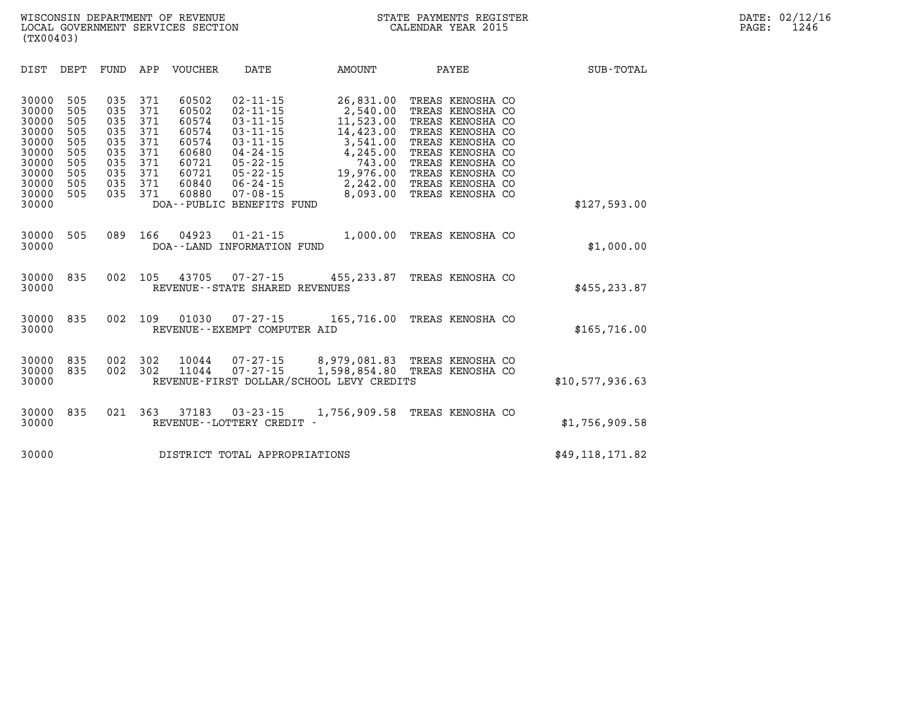| (TX00403)                                                                                       |                                                                    |                                                                    |                                                                    | WISCONSIN DEPARTMENT OF REVENUE<br>LOCAL GOVERNMENT SERVICES SECTION                   |                                                                                                                                                                                                       |                                                                                                                        | STATE PAYMENTS REGISTER<br>CALENDAR YEAR 2015                                                                                                                                                        |               | DATE: 02/12/16<br>1246<br>PAGE: |
|-------------------------------------------------------------------------------------------------|--------------------------------------------------------------------|--------------------------------------------------------------------|--------------------------------------------------------------------|----------------------------------------------------------------------------------------|-------------------------------------------------------------------------------------------------------------------------------------------------------------------------------------------------------|------------------------------------------------------------------------------------------------------------------------|------------------------------------------------------------------------------------------------------------------------------------------------------------------------------------------------------|---------------|---------------------------------|
| DIST                                                                                            | DEPT                                                               | FUND                                                               | APP                                                                | VOUCHER                                                                                | DATE                                                                                                                                                                                                  | AMOUNT                                                                                                                 | PAYEE                                                                                                                                                                                                | SUB-TOTAL     |                                 |
| 30000<br>30000<br>30000<br>30000<br>30000<br>30000<br>30000<br>30000<br>30000<br>30000<br>30000 | 505<br>505<br>505<br>505<br>505<br>505<br>505<br>505<br>505<br>505 | 035<br>035<br>035<br>035<br>035<br>035<br>035<br>035<br>035<br>035 | 371<br>371<br>371<br>371<br>371<br>371<br>371<br>371<br>371<br>371 | 60502<br>60502<br>60574<br>60574<br>60574<br>60680<br>60721<br>60721<br>60840<br>60880 | $02 - 11 - 15$<br>$02 - 11 - 15$<br>$03 - 11 - 15$<br>$03 - 11 - 15$<br>$03 - 11 - 15$<br>04 - 24 - 15<br>$05 - 22 - 15$<br>05-22-15<br>$06 - 24 - 15$<br>$07 - 08 - 15$<br>DOA--PUBLIC BENEFITS FUND | 26,831.00<br>2,540.00<br>11,523.00<br>14,423.00<br>3,541.00<br>4,245.00<br>743.00<br>19,976.00<br>2,242.00<br>8,093.00 | TREAS KENOSHA CO<br>TREAS KENOSHA CO<br>TREAS KENOSHA CO<br>TREAS KENOSHA CO<br>TREAS KENOSHA CO<br>TREAS KENOSHA CO<br>TREAS KENOSHA CO<br>TREAS KENOSHA CO<br>TREAS KENOSHA CO<br>TREAS KENOSHA CO | \$127,593.00  |                                 |
| 30000<br>30000                                                                                  | 505                                                                | 089                                                                | 166                                                                | 04923                                                                                  | $01 - 21 - 15$<br>DOA--LAND INFORMATION FUND                                                                                                                                                          | 1,000.00                                                                                                               | TREAS KENOSHA CO                                                                                                                                                                                     | \$1,000.00    |                                 |
| 30000 835<br>30000                                                                              |                                                                    | 002                                                                | 105                                                                | 43705                                                                                  | 07-27-15<br>REVENUE - - STATE SHARED REVENUES                                                                                                                                                         | 455,233.87                                                                                                             | TREAS KENOSHA CO                                                                                                                                                                                     | \$455, 233.87 |                                 |
| 30000<br>30000                                                                                  | 835                                                                | 002                                                                | 109                                                                | 01030                                                                                  | $07 - 27 - 15$<br>REVENUE--EXEMPT COMPUTER AID                                                                                                                                                        | 165,716.00                                                                                                             | TREAS KENOSHA CO                                                                                                                                                                                     | \$165,716.00  |                                 |

| 30000 835 002 302 |  |  | 10044 07-27-15<br>30000 835 002 302 11044 07-27-15 |                                          | 8,979,081.83 TREAS KENOSHA CO<br>1,598,854.80 TREAS KENOSHA CO |                 |
|-------------------|--|--|----------------------------------------------------|------------------------------------------|----------------------------------------------------------------|-----------------|
| 30000             |  |  |                                                    | REVENUE-FIRST DOLLAR/SCHOOL LEVY CREDITS |                                                                | \$10,577,936.63 |
|                   |  |  |                                                    |                                          |                                                                |                 |

|       |  |  | 30000 835 021 363 37183 03-23-15 | 1,756,909.58 TREAS KENOSHA CO |                |
|-------|--|--|----------------------------------|-------------------------------|----------------|
| 30000 |  |  | REVENUE--LOTTERY CREDIT -        |                               | \$1,756,909.58 |
|       |  |  |                                  |                               |                |

**30000 DISTRICT TOTAL APPROPRIATIONS \$49,118,171.82**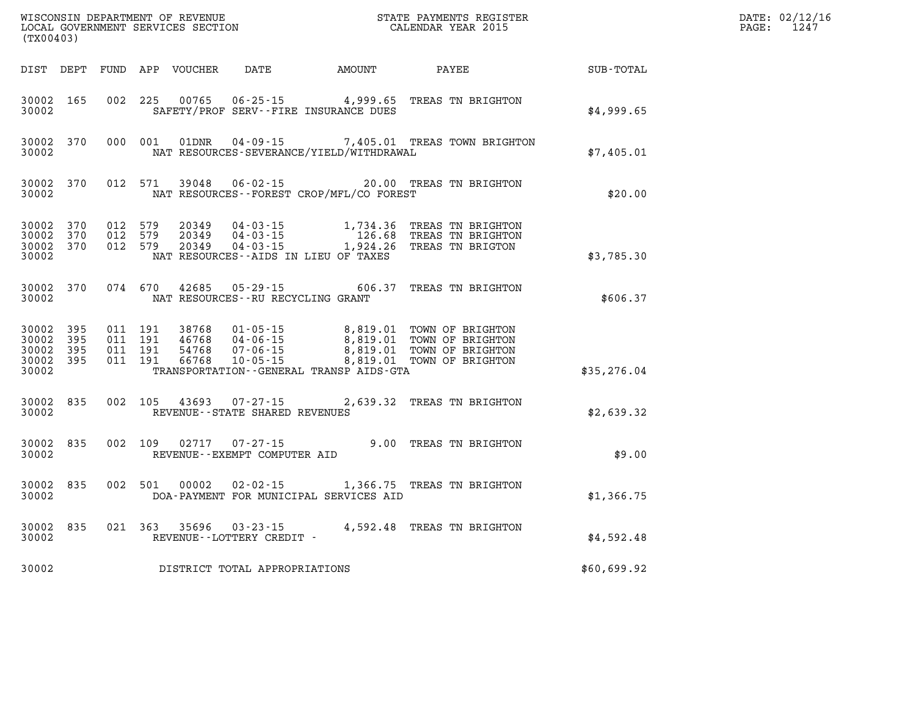| (TX00403)                                     |                   |                                          | WISCONSIN DEPARTMENT OF REVENUE<br>LOCAL GOVERNMENT SERVICES SECTION |                                                                          | STATE PAYMENTS REGISTER<br>CALENDAR YEAR 2015       |                                                                                                         | DATE: 02/12/16<br>1247<br>$\mathtt{PAGE:}$ |  |
|-----------------------------------------------|-------------------|------------------------------------------|----------------------------------------------------------------------|--------------------------------------------------------------------------|-----------------------------------------------------|---------------------------------------------------------------------------------------------------------|--------------------------------------------|--|
|                                               |                   |                                          | DIST DEPT FUND APP VOUCHER                                           | DATE                                                                     | <b>EXAMPLE THE AMOUNT</b>                           | PAYEE                                                                                                   | SUB-TOTAL                                  |  |
| 30002 165<br>30002                            |                   | 002 225                                  | 00765                                                                |                                                                          | SAFETY/PROF SERV--FIRE INSURANCE DUES               | 06-25-15 4,999.65 TREAS TN BRIGHTON                                                                     | \$4,999.65                                 |  |
| 30002 370<br>30002                            |                   | 000 001                                  | 01DNR                                                                |                                                                          | NAT RESOURCES-SEVERANCE/YIELD/WITHDRAWAL            | 04-09-15 7,405.01 TREAS TOWN BRIGHTON                                                                   | \$7,405.01                                 |  |
| 30002 370<br>30002                            |                   | 012 571                                  | 39048                                                                |                                                                          | NAT RESOURCES--FOREST CROP/MFL/CO FOREST            | 06-02-15 20.00 TREAS TN BRIGHTON                                                                        | \$20.00                                    |  |
| 30002 370<br>30002<br>30002<br>30002          | 370<br>370        | 012 579<br>012 579<br>012 579            | 20349<br>20349<br>20349                                              | $04 - 03 - 15$<br>$04 - 03 - 15$<br>NAT RESOURCES--AIDS IN LIEU OF TAXES | 126.68                                              | 1,734.36 TREAS TN BRIGHTON<br>TREAS TN BRIGHTON<br>04-03-15 1,924.26 TREAS TN BRIGTON                   | \$3,785.30                                 |  |
| 30002 370<br>30002                            |                   | 074 670                                  | 42685                                                                | NAT RESOURCES - - RU RECYCLING GRANT                                     |                                                     | 05-29-15 606.37 TREAS TN BRIGHTON                                                                       | \$606.37                                   |  |
| 30002 395<br>30002<br>30002<br>30002<br>30002 | 395<br>395<br>395 | 011 191<br>011 191<br>011 191<br>011 191 | 38768<br>46768<br>54768<br>66768                                     | 01-05-15<br>04-06-15<br>07-06-15<br>$10 - 05 - 15$                       | 8,819.01<br>TRANSPORTATION--GENERAL TRANSP AIDS-GTA | 8,819.01 TOWN OF BRIGHTON<br>TOWN OF BRIGHTON<br>8,819.01 TOWN OF BRIGHTON<br>8,819.01 TOWN OF BRIGHTON | \$35,276.04                                |  |
| 30002 835<br>30002                            |                   | 002 105                                  | 43693                                                                | $07 - 27 - 15$<br>REVENUE - - STATE SHARED REVENUES                      |                                                     | 2,639.32 TREAS TN BRIGHTON                                                                              | \$2,639.32                                 |  |
| 30002 835<br>30002                            |                   | 002 109                                  |                                                                      | $02717$ $07 - 27 - 15$<br>REVENUE--EXEMPT COMPUTER AID                   |                                                     | 9.00 TREAS TN BRIGHTON                                                                                  | \$9.00                                     |  |
| 30002 835<br>30002                            |                   | 002 501                                  | 00002                                                                |                                                                          | DOA-PAYMENT FOR MUNICIPAL SERVICES AID              | 02-02-15 1,366.75 TREAS TN BRIGHTON                                                                     | \$1,366.75                                 |  |
| 30002 835<br>30002                            |                   |                                          |                                                                      | 021 363 35696 03-23-15<br>REVENUE--LOTTERY CREDIT -                      |                                                     | 4,592.48 TREAS TN BRIGHTON                                                                              | \$4,592.48                                 |  |
| 30002                                         |                   |                                          |                                                                      | DISTRICT TOTAL APPROPRIATIONS                                            |                                                     |                                                                                                         | \$60,699.92                                |  |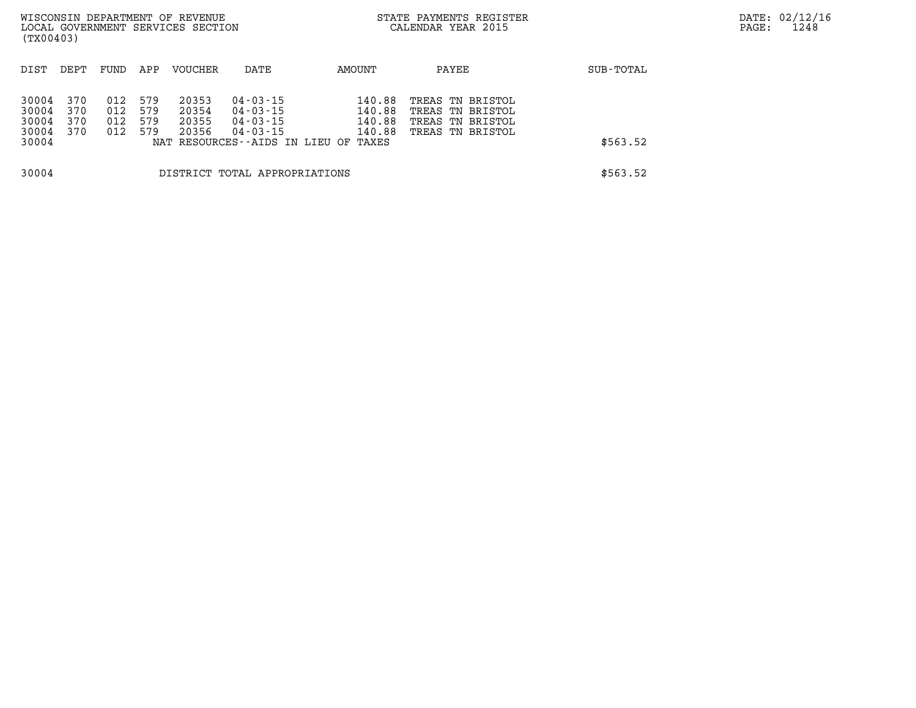| (TX00403)                                 |                          |                          |                          | WISCONSIN DEPARTMENT OF REVENUE<br>LOCAL GOVERNMENT SERVICES SECTION |                                                                                              |                                               | STATE PAYMENTS REGISTER<br>CALENDAR YEAR 2015                                |           | PAGE: | DATE: 02/12/16<br>1248 |
|-------------------------------------------|--------------------------|--------------------------|--------------------------|----------------------------------------------------------------------|----------------------------------------------------------------------------------------------|-----------------------------------------------|------------------------------------------------------------------------------|-----------|-------|------------------------|
| DIST                                      | DEPT                     | FUND                     | APP                      | VOUCHER                                                              | DATE                                                                                         | AMOUNT                                        | PAYEE                                                                        | SUB-TOTAL |       |                        |
| 30004<br>30004<br>30004<br>30004<br>30004 | 370<br>370<br>370<br>370 | 012<br>012<br>012<br>012 | 579<br>579<br>579<br>579 | 20353<br>20354<br>20355<br>20356                                     | 04-03-15<br>04 - 03 - 15<br>$04 - 03 - 15$<br>04 - 03 - 15<br>NAT RESOURCES--AIDS IN LIEU OF | 140.88<br>140.88<br>140.88<br>140.88<br>TAXES | TREAS TN BRISTOL<br>TREAS TN BRISTOL<br>TREAS TN BRISTOL<br>TREAS TN BRISTOL | \$563.52  |       |                        |
| 30004                                     |                          |                          |                          |                                                                      | DISTRICT TOTAL APPROPRIATIONS                                                                |                                               |                                                                              | \$563.52  |       |                        |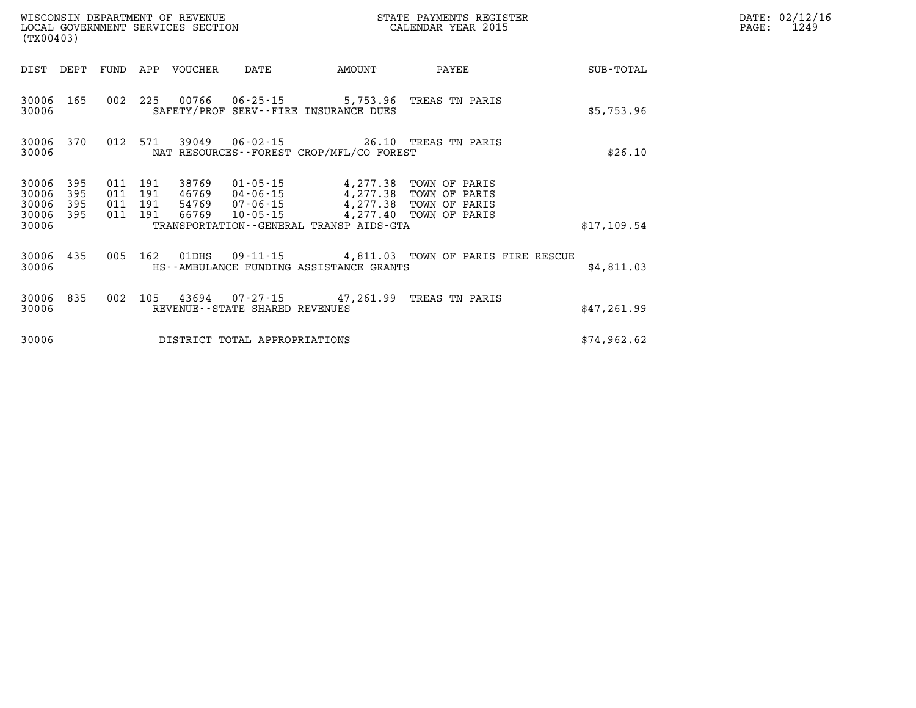|                         | WISCONSIN DEPARTMENT OF REVENUE<br>LOCAL GOVERNMENT SERVICES SECTION<br>(TX00403) |                    |  |                  |                                |                                                                                                                                   | STATE PAYMENTS REGISTER<br>CALENDAR YEAR 2015                  |             | DATE: 02/12/16<br>$\mathtt{PAGE}$ :<br>1249 |
|-------------------------|-----------------------------------------------------------------------------------|--------------------|--|------------------|--------------------------------|-----------------------------------------------------------------------------------------------------------------------------------|----------------------------------------------------------------|-------------|---------------------------------------------|
|                         | DIST DEPT FUND                                                                    |                    |  | APP VOUCHER DATE |                                | AMOUNT                                                                                                                            | PAYEE                                                          | SUB-TOTAL   |                                             |
| 30006                   | 30006 165                                                                         |                    |  |                  |                                | 002 225 00766 06-25-15 5,753.96 TREAS TN PARIS<br>SAFETY/PROF SERV--FIRE INSURANCE DUES                                           |                                                                | \$5,753.96  |                                             |
| 30006                   | 30006 370                                                                         | 012 571            |  |                  |                                | NAT RESOURCES--FOREST CROP/MFL/CO FOREST                                                                                          |                                                                | \$26.10     |                                             |
| 30006<br>30006          | - 395<br>395                                                                      | 011 191<br>011 191 |  |                  |                                | 38769  01-05-15  4,277.38  TOWN OF PARIS<br>46769 04-06-15 4,277.38 TOWN OF PARIS                                                 |                                                                |             |                                             |
| 30006<br>30006<br>30006 | 395<br>395                                                                        | 011 191<br>011 191 |  |                  |                                | 54769 07-06-15 4,277.38 TOWN OF PARIS<br>66769  10-05-15  4,277.40  TOWN OF PARIS<br>TRANSPORTATION - - GENERAL TRANSP AIDS - GTA |                                                                |             |                                             |
|                         |                                                                                   |                    |  |                  |                                |                                                                                                                                   |                                                                | \$17,109.54 |                                             |
| 30006 435<br>30006      |                                                                                   | 005 162            |  |                  |                                | HS--AMBULANCE FUNDING ASSISTANCE GRANTS                                                                                           | $01\text{DHS}$ $09-11-15$ $4,811.03$ TOWN OF PARIS FIRE RESCUE | \$4,811.03  |                                             |
| 30006                   | 30006 835                                                                         | 002 105            |  |                  | REVENUE--STATE SHARED REVENUES | 43694  07-27-15  47,261.99  TREAS TN PARIS                                                                                        |                                                                | \$47,261.99 |                                             |
| 30006                   |                                                                                   |                    |  |                  | DISTRICT TOTAL APPROPRIATIONS  |                                                                                                                                   |                                                                | \$74,962.62 |                                             |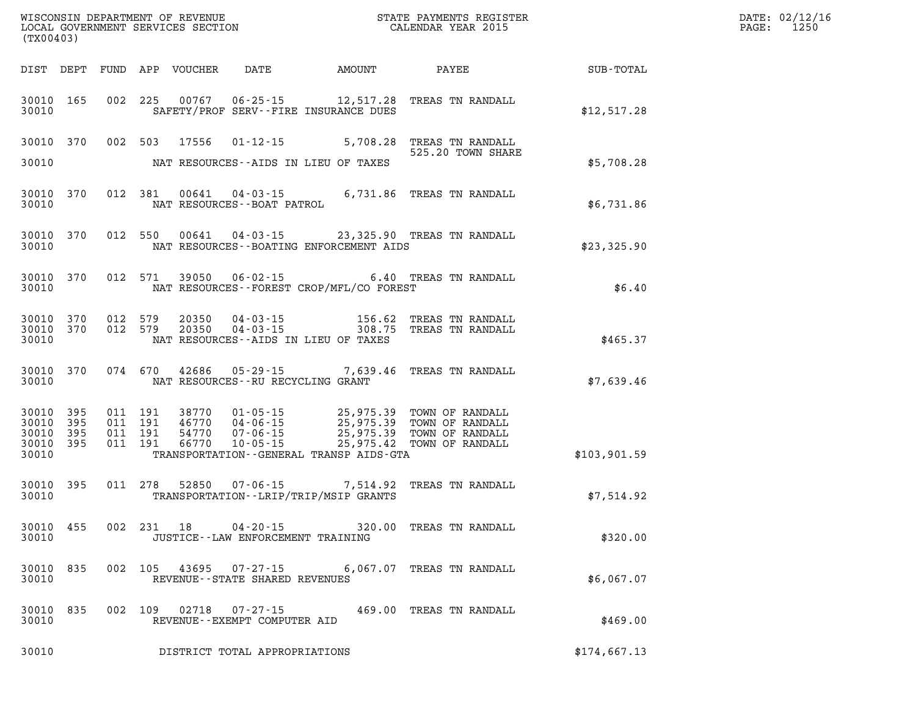|                                               | WISCONSIN DEPARTMENT OF REVENUE<br>LOCAL GOVERNMENT SERVICES SECTION<br>(TX00403) |                      |                                          |                         |                                                        |                                                                           | STATE PAYMENTS REGISTER<br>CALENDAR YEAR 2015                                                                                                                                            |              | DATE: 02/12/16<br>1250<br>$\mathtt{PAGE:}$ |
|-----------------------------------------------|-----------------------------------------------------------------------------------|----------------------|------------------------------------------|-------------------------|--------------------------------------------------------|---------------------------------------------------------------------------|------------------------------------------------------------------------------------------------------------------------------------------------------------------------------------------|--------------|--------------------------------------------|
|                                               |                                                                                   |                      |                                          |                         | DIST DEPT FUND APP VOUCHER DATE AMOUNT                 |                                                                           | PAYEE                                                                                                                                                                                    | SUB-TOTAL    |                                            |
| 30010                                         | 30010 165                                                                         |                      |                                          |                         |                                                        | 002 225 00767 06-25-15 12,517.28<br>SAFETY/PROF SERV--FIRE INSURANCE DUES | TREAS TN RANDALL                                                                                                                                                                         | \$12,517.28  |                                            |
| 30010                                         |                                                                                   |                      |                                          | 30010 370 002 503 17556 | $01 - 12 - 15$                                         | NAT RESOURCES--AIDS IN LIEU OF TAXES                                      | 5,708.28 TREAS TN RANDALL<br>525.20 TOWN SHARE                                                                                                                                           | \$5,708.28   |                                            |
| 30010                                         | 30010 370                                                                         |                      |                                          |                         | NAT RESOURCES--BOAT PATROL                             |                                                                           | 012 381 00641 04-03-15 6,731.86 TREAS TN RANDALL                                                                                                                                         | \$6,731.86   |                                            |
| 30010                                         | 30010 370                                                                         |                      |                                          |                         |                                                        | NAT RESOURCES--BOATING ENFORCEMENT AIDS                                   | 012 550 00641 04-03-15 23,325.90 TREAS TN RANDALL                                                                                                                                        | \$23,325.90  |                                            |
| 30010                                         | 30010 370                                                                         |                      |                                          |                         |                                                        | NAT RESOURCES--FOREST CROP/MFL/CO FOREST                                  | 012 571 39050 06-02-15 6.40 TREAS TN RANDALL                                                                                                                                             | \$6.40       |                                            |
| 30010                                         | 30010 370                                                                         | 30010 370 012 579    | 012 579                                  |                         |                                                        | NAT RESOURCES--AIDS IN LIEU OF TAXES                                      | 20350  04-03-15  156.62  TREAS TN RANDALL<br>20350  04-03-15  308.75  TREAS TN RANDALL                                                                                                   | \$465.37     |                                            |
| 30010                                         | 30010 370                                                                         |                      |                                          |                         | NAT RESOURCES--RU RECYCLING GRANT                      |                                                                           | 074 670 42686 05-29-15 7,639.46 TREAS TN RANDALL                                                                                                                                         | \$7,639.46   |                                            |
| 30010 395<br>30010<br>30010<br>30010<br>30010 | 395<br>395<br>395                                                                 |                      | 011 191<br>011 191<br>011 191<br>011 191 |                         | 46770 04-06-15                                         | TRANSPORTATION--GENERAL TRANSP AIDS-GTA                                   | 38770  01-05-15  25,975.39  TOWN OF RANDALL<br>46770  04-06-15  25,975.39  TOWN OF RANDALL<br>54770  07-06-15  25,975.39  TOWN OF RANDALL<br>66770  10-05-15  25,975.42  TOWN OF RANDALL | \$103,901.59 |                                            |
| 30010                                         | 30010 395                                                                         |                      |                                          |                         |                                                        | TRANSPORTATION - - LRIP/TRIP/MSIP GRANTS                                  | 011  278  52850  07-06-15  7,514.92  TREAS TN RANDALL                                                                                                                                    | \$7,514.92   |                                            |
| 30010                                         |                                                                                   | 30010 455 002 231 18 |                                          |                         | $04 - 20 - 15$<br>JUSTICE - - LAW ENFORCEMENT TRAINING |                                                                           | 320.00 TREAS TN RANDALL                                                                                                                                                                  | \$320.00     |                                            |
| 30010<br>30010                                | 835                                                                               |                      | 002 105                                  |                         | REVENUE - - STATE SHARED REVENUES                      |                                                                           | 43695 07-27-15 6,067.07 TREAS TN RANDALL                                                                                                                                                 | \$6,067.07   |                                            |
| 30010<br>30010                                | 835                                                                               |                      | 002 109                                  | 02718                   | 07-27-15<br>REVENUE--EXEMPT COMPUTER AID               |                                                                           | 469.00 TREAS TN RANDALL                                                                                                                                                                  | \$469.00     |                                            |
| 30010                                         |                                                                                   |                      |                                          |                         | DISTRICT TOTAL APPROPRIATIONS                          |                                                                           |                                                                                                                                                                                          | \$174,667.13 |                                            |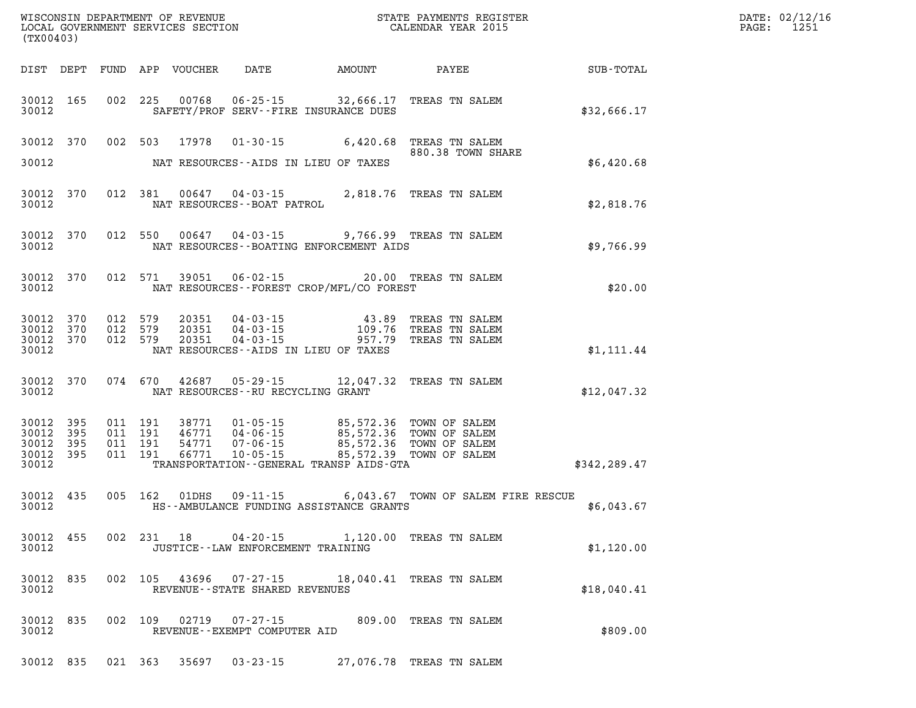| (TX00403)                   |            |         |                    |                |                                        |                                                                   |                                                                                                                                                                                  |                  | DATE: 02/12/16<br>1251<br>$\mathtt{PAGE}$ : |
|-----------------------------|------------|---------|--------------------|----------------|----------------------------------------|-------------------------------------------------------------------|----------------------------------------------------------------------------------------------------------------------------------------------------------------------------------|------------------|---------------------------------------------|
|                             |            |         |                    |                | DIST DEPT FUND APP VOUCHER DATE AMOUNT |                                                                   | PAYEE                                                                                                                                                                            | <b>SUB-TOTAL</b> |                                             |
| 30012                       | 30012 165  |         | 002 225            |                |                                        | 00768 06-25-15 32,666.17<br>SAFETY/PROF SERV--FIRE INSURANCE DUES | TREAS TN SALEM                                                                                                                                                                   | \$32,666.17      |                                             |
|                             | 30012 370  |         | 002 503            | 17978          |                                        |                                                                   | 01-30-15 6,420.68 TREAS TN SALEM<br>880.38 TOWN SHARE                                                                                                                            |                  |                                             |
| 30012                       |            |         |                    |                |                                        | NAT RESOURCES--AIDS IN LIEU OF TAXES                              |                                                                                                                                                                                  | \$6,420.68       |                                             |
| 30012                       | 30012 370  |         |                    |                | NAT RESOURCES--BOAT PATROL             |                                                                   | 012 381 00647 04-03-15 2,818.76 TREAS TN SALEM                                                                                                                                   | \$2,818.76       |                                             |
| 30012                       | 30012 370  |         |                    |                |                                        | NAT RESOURCES--BOATING ENFORCEMENT AIDS                           | 012 550 00647 04-03-15 9,766.99 TREAS TN SALEM                                                                                                                                   | \$9,766.99       |                                             |
| 30012                       | 30012 370  |         |                    |                |                                        | NAT RESOURCES--FOREST CROP/MFL/CO FOREST                          | 012 571 39051 06-02-15 20.00 TREAS TN SALEM                                                                                                                                      | \$20.00          |                                             |
| 30012 370                   | 30012 370  | 012 579 | 012 579            | 20351<br>20351 | 04 - 03 - 15<br>04 - 03 - 15           | 109.76                                                            | 43.89 TREAS TN SALEM<br>TREAS TN SALEM                                                                                                                                           |                  |                                             |
| 30012 370<br>30012          |            | 012 579 |                    | 20351          | $04 - 03 - 15$                         | 957.79<br>NAT RESOURCES--AIDS IN LIEU OF TAXES                    | TREAS TN SALEM                                                                                                                                                                   | \$1,111.44       |                                             |
| 30012                       | 30012 370  |         | 074 670            |                | NAT RESOURCES--RU RECYCLING GRANT      |                                                                   | 42687 05-29-15 12,047.32 TREAS TN SALEM                                                                                                                                          | \$12,047.32      |                                             |
| 30012<br>30012              | 395<br>395 |         | 011 191<br>011 191 |                |                                        |                                                                   | 38771  01-05-15  85,572.36  TOWN OF SALEM<br>46771  04-06-15  85,572.36  TOWN OF SALEM<br>54771  07-06-15  85,572.36  TOWN OF SALEM<br>66771  10-05-15  85,572.39  TOWN OF SALEM |                  |                                             |
| 30012<br>30012 395<br>30012 | 395        |         | 011 191<br>011 191 |                |                                        | TRANSPORTATION--GENERAL TRANSP AIDS-GTA                           |                                                                                                                                                                                  | \$342,289.47     |                                             |
| 30012                       | 30012 435  |         |                    | 005 162 01DHS  |                                        | HS--AMBULANCE FUNDING ASSISTANCE GRANTS                           | 09-11-15 6,043.67 TOWN OF SALEM FIRE RESCUE                                                                                                                                      | \$6,043.67       |                                             |
| 30012                       | 30012 455  |         |                    |                | JUSTICE - - LAW ENFORCEMENT TRAINING   |                                                                   | 002 231 18 04-20-15 1,120.00 TREAS TN SALEM                                                                                                                                      | \$1,120.00       |                                             |
| 30012                       | 30012 835  |         |                    |                | REVENUE - - STATE SHARED REVENUES      |                                                                   | 002 105 43696 07-27-15 18,040.41 TREAS TN SALEM                                                                                                                                  | \$18,040.41      |                                             |
| 30012                       | 30012 835  |         |                    |                | REVENUE--EXEMPT COMPUTER AID           |                                                                   | 002 109 02719 07-27-15 809.00 TREAS TN SALEM                                                                                                                                     | \$809.00         |                                             |
|                             |            |         |                    |                | 30012 835 021 363 35697 03-23-15       |                                                                   | 27,076.78 TREAS TN SALEM                                                                                                                                                         |                  |                                             |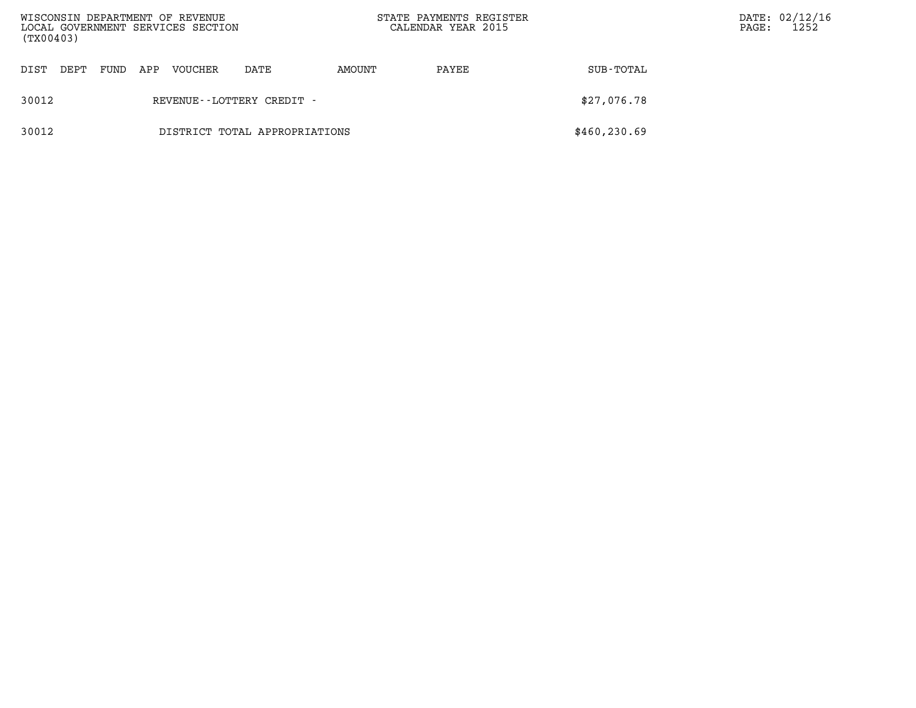| (TX00403) |      |      |     | WISCONSIN DEPARTMENT OF REVENUE<br>LOCAL GOVERNMENT SERVICES SECTION |                               | STATE PAYMENTS REGISTER<br>CALENDAR YEAR 2015 |       |               | PAGE: | DATE: 02/12/16<br>1252 |
|-----------|------|------|-----|----------------------------------------------------------------------|-------------------------------|-----------------------------------------------|-------|---------------|-------|------------------------|
| DIST      | DEPT | FUND | APP | VOUCHER                                                              | DATE                          | AMOUNT                                        | PAYEE | SUB-TOTAL     |       |                        |
| 30012     |      |      |     |                                                                      | REVENUE - - LOTTERY CREDIT -  |                                               |       | \$27,076.78   |       |                        |
| 30012     |      |      |     |                                                                      | DISTRICT TOTAL APPROPRIATIONS |                                               |       | \$460, 230.69 |       |                        |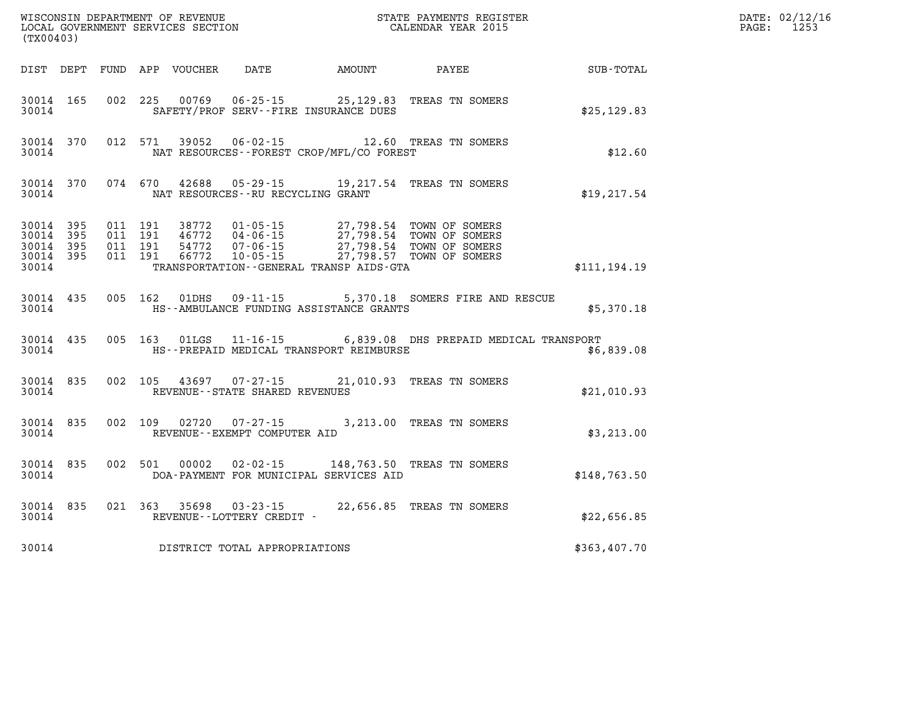| (TX00403)          | WISCONSIN DEPARTMENT OF REVENUE<br>LOCAL GOVERNMENT SERVICES SECTION<br>(TWO0400) |       |  |  |                                         |                                              |                                                                                                                                                                                                                                                                                        |                                                        | DATE: 02/12/16<br>PAGE: 1253 |
|--------------------|-----------------------------------------------------------------------------------|-------|--|--|-----------------------------------------|----------------------------------------------|----------------------------------------------------------------------------------------------------------------------------------------------------------------------------------------------------------------------------------------------------------------------------------------|--------------------------------------------------------|------------------------------|
|                    |                                                                                   |       |  |  |                                         |                                              |                                                                                                                                                                                                                                                                                        | DIST DEPT FUND APP VOUCHER DATE AMOUNT PAYEE SUB-TOTAL |                              |
|                    |                                                                                   | 30014 |  |  |                                         | SAFETY/PROF SERV--FIRE INSURANCE DUES        | 30014 165 002 225 00769 06-25-15 25,129.83 TREAS TN SOMERS                                                                                                                                                                                                                             | \$25, 129.83                                           |                              |
| 30014              |                                                                                   |       |  |  |                                         | NAT RESOURCES -- FOREST CROP/MFL/CO FOREST   | 30014 370 012 571 39052 06-02-15 12.60 TREAS TN SOMERS                                                                                                                                                                                                                                 | \$12.60                                                |                              |
|                    |                                                                                   |       |  |  | 30014 NAT RESOURCES--RU RECYCLING GRANT |                                              | 30014 370 074 670 42688 05-29-15 19,217.54 TREAS TN SOMERS                                                                                                                                                                                                                             | \$19, 217.54                                           |                              |
| 30014 395<br>30014 | 30014 395<br>30014 395<br>30014 395                                               |       |  |  |                                         | TRANSPORTATION - GENERAL TRANSP AIDS - GTA   | $\begin{tabular}{cccc} 011 & 191 & 38772 & 01-05-15 & 27,798.54 & TOWN OF SOMERS \\ 011 & 191 & 46772 & 04-06-15 & 27,798.54 & TOWN OF SOMERS \\ 011 & 191 & 54772 & 07-06-15 & 27,798.54 & TOWN OF SOMERS \\ 011 & 191 & 66772 & 10-05-15 & 27,798.57 & TOWN OF SOMERS \end{tabular}$ | \$111,194.19                                           |                              |
| 30014              |                                                                                   |       |  |  |                                         | HS--AMBULANCE FUNDING ASSISTANCE GRANTS      | 30014 435 005 162 01DHS 09-11-15 5,370.18 SOMERS FIRE AND RESCUE                                                                                                                                                                                                                       | \$5,370.18                                             |                              |
| 30014              | 30014 435                                                                         |       |  |  |                                         | HS--PREPAID MEDICAL TRANSPORT REIMBURSE      | 005 163 01LGS 11-16-15 6,839.08 DHS PREPAID MEDICAL TRANSPORT                                                                                                                                                                                                                          | \$6,839.08                                             |                              |
| 30014              |                                                                                   |       |  |  | REVENUE--STATE SHARED REVENUES          |                                              | 30014 835 002 105 43697 07-27-15 21,010.93 TREAS TN SOMERS                                                                                                                                                                                                                             | \$21,010.93                                            |                              |
| 30014              | 30014 835                                                                         |       |  |  | REVENUE - - EXEMPT COMPUTER AID         |                                              | 002 109 02720 07-27-15 3,213.00 TREAS TN SOMERS                                                                                                                                                                                                                                        | \$3,213.00                                             |                              |
|                    |                                                                                   |       |  |  |                                         | 30014 DOA-PAYMENT FOR MUNICIPAL SERVICES AID | 30014 835 002 501 00002 02-02-15 148,763.50 TREAS TN SOMERS                                                                                                                                                                                                                            | \$148,763.50                                           |                              |
|                    |                                                                                   |       |  |  | 30014 REVENUE - LOTTERY CREDIT -        |                                              | 30014 835 021 363 35698 03-23-15 22,656.85 TREAS TN SOMERS                                                                                                                                                                                                                             | \$22,656.85                                            |                              |
| 30014              |                                                                                   |       |  |  | DISTRICT TOTAL APPROPRIATIONS           |                                              |                                                                                                                                                                                                                                                                                        | \$363,407.70                                           |                              |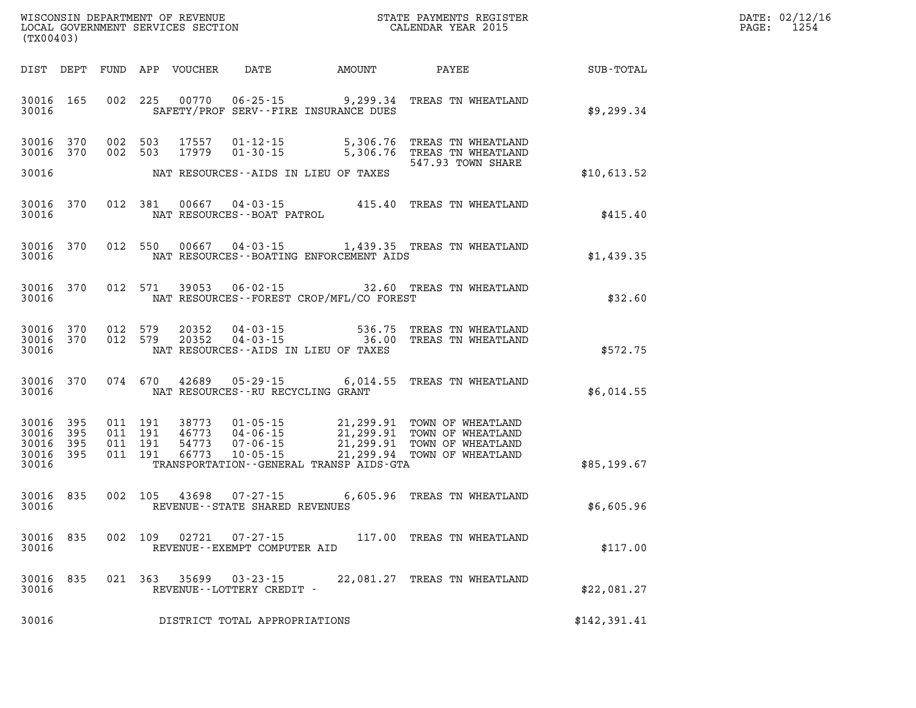| DATE: | 02/12/16 |
|-------|----------|
| PAGE: | 1254     |

| (TX00403)                                     |                    |                                          | LOCAL GOVERNMENT SERVICES SECTION |                                       |                                              | CALENDAR YEAR 2015                                                                                                                                                                          |              | PAGE: | 1254 |
|-----------------------------------------------|--------------------|------------------------------------------|-----------------------------------|---------------------------------------|----------------------------------------------|---------------------------------------------------------------------------------------------------------------------------------------------------------------------------------------------|--------------|-------|------|
|                                               |                    |                                          |                                   |                                       | DIST DEPT FUND APP VOUCHER DATE AMOUNT PAYEE |                                                                                                                                                                                             | SUB-TOTAL    |       |      |
| 30016 165<br>30016                            |                    | 002 225                                  | 00770                             | $06 - 25 - 15$                        | SAFETY/PROF SERV--FIRE INSURANCE DUES        | 9,299.34 TREAS TN WHEATLAND                                                                                                                                                                 | \$9,299.34   |       |      |
| 30016 370<br>30016 370                        |                    | 002 503<br>002 503                       | 17557<br>17979                    | $01 - 12 - 15$<br>$01 - 30 - 15$      | 5,306.76                                     | TREAS TN WHEATLAND<br>5,306.76 TREAS TN WHEATLAND<br>547.93 TOWN SHARE                                                                                                                      |              |       |      |
| 30016                                         |                    |                                          |                                   |                                       | NAT RESOURCES--AIDS IN LIEU OF TAXES         |                                                                                                                                                                                             | \$10,613.52  |       |      |
| 30016<br>30016                                | 370                | 012 381                                  | 00667                             | NAT RESOURCES--BOAT PATROL            |                                              | 04-03-15 415.40 TREAS TN WHEATLAND                                                                                                                                                          | \$415.40     |       |      |
| 30016<br>30016                                | 370                |                                          | 012 550 00667                     | $04 - 03 - 15$                        | NAT RESOURCES--BOATING ENFORCEMENT AIDS      | 1,439.35 TREAS TN WHEATLAND                                                                                                                                                                 | \$1,439.35   |       |      |
| 30016 370<br>30016                            |                    |                                          |                                   |                                       | NAT RESOURCES--FOREST CROP/MFL/CO FOREST     | 012 571 39053 06-02-15 32.60 TREAS TN WHEATLAND                                                                                                                                             | \$32.60      |       |      |
| 30016 370<br>30016 370<br>30016               |                    | 012 579<br>012 579                       | 20352<br>20352                    | 04 - 03 - 15                          | NAT RESOURCES -- AIDS IN LIEU OF TAXES       | 536.75 TREAS TN WHEATLAND<br>04-03-15 36.00 TREAS TN WHEATLAND                                                                                                                              | \$572.75     |       |      |
| 30016 370<br>30016                            |                    |                                          |                                   | NAT RESOURCES--RU RECYCLING GRANT     |                                              | 074 670 42689 05-29-15 6,014.55 TREAS TN WHEATLAND                                                                                                                                          | \$6,014.55   |       |      |
| 30016 395<br>30016<br>30016<br>30016<br>30016 | 395<br>-395<br>395 | 011 191<br>011 191<br>011 191<br>011 191 | 38773<br>46773<br>54773<br>66773  | $10 - 05 - 15$                        | TRANSPORTATION--GENERAL TRANSP AIDS-GTA      | 01-05-15 21,299.91 TOWN OF WHEATLAND<br>04-06-15 21,299.91 TOWN OF WHEATLAND<br>07-06-15 21,299.91 TOWN OF WHEATLAND<br>10-05-15 21,299.94 TOWN OF WHEATLAND<br>21,299.94 TOWN OF WHEATLAND | \$85,199.67  |       |      |
| 30016<br>30016                                | 835                |                                          |                                   | REVENUE - - STATE SHARED REVENUES     |                                              | 002 105 43698 07-27-15 6,605.96 TREAS TN WHEATLAND                                                                                                                                          | \$6,605.96   |       |      |
| 30016<br>30016                                | 835                |                                          | 002 109 02721                     | REVENUE--EXEMPT COMPUTER AID          |                                              | 07-27-15 117.00 TREAS TN WHEATLAND                                                                                                                                                          | \$117.00     |       |      |
| 30016 835<br>30016                            |                    |                                          | 021 363 35699                     | 03-23-15<br>REVENUE--LOTTERY CREDIT - |                                              | 22,081.27 TREAS TN WHEATLAND                                                                                                                                                                | \$22,081.27  |       |      |
| 30016                                         |                    |                                          |                                   | DISTRICT TOTAL APPROPRIATIONS         |                                              |                                                                                                                                                                                             | \$142,391.41 |       |      |

WISCONSIN DEPARTMENT OF REVENUE **STATE PAYMENTS REGISTER**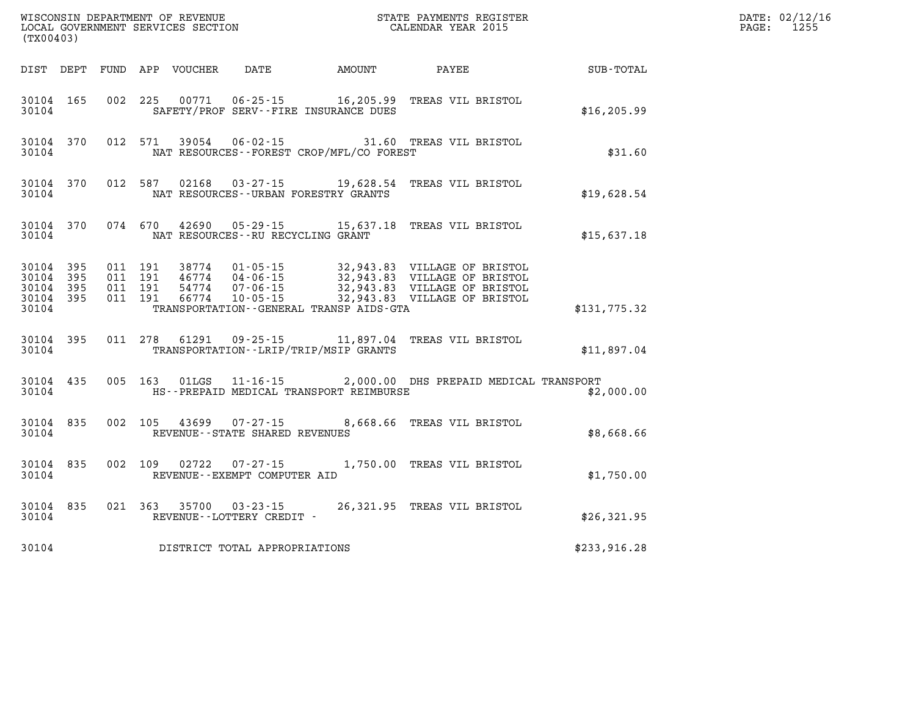| (TX00403)                                    |           |  |                                              | % WISCONSIN DEPARTMENT OF REVENUE $$\tt STATE~PAYMEMTS~REGISTER~LOCAL~GOVERNMENT~SERVICES~SECTION~CALENDAR~YEAR~2015$ |                  | DATE: 02/12/16<br>PAGE: 1255 |
|----------------------------------------------|-----------|--|----------------------------------------------|-----------------------------------------------------------------------------------------------------------------------|------------------|------------------------------|
|                                              |           |  | DIST DEPT FUND APP VOUCHER DATE AMOUNT       | <b>PAYEE</b>                                                                                                          | <b>SUB-TOTAL</b> |                              |
| 30104                                        |           |  | SAFETY/PROF SERV--FIRE INSURANCE DUES        | 30104 165 002 225 00771 06-25-15 16,205.99 TREAS VIL BRISTOL                                                          | \$16, 205.99     |                              |
| 30104                                        |           |  | NAT RESOURCES--FOREST CROP/MFL/CO FOREST     | 30104 370 012 571 39054 06-02-15 31.60 TREAS VIL BRISTOL                                                              | \$31.60          |                              |
| 30104                                        |           |  | NAT RESOURCES--URBAN FORESTRY GRANTS         | 30104 370 012 587 02168 03-27-15 19,628.54 TREAS VIL BRISTOL                                                          | \$19,628.54      |                              |
| 30104                                        |           |  | NAT RESOURCES--RU RECYCLING GRANT            | 30104 370 074 670 42690 05-29-15 15,637.18 TREAS VIL BRISTOL                                                          | \$15,637.18      |                              |
| 30104 395<br>30104 395<br>30104 395<br>30104 | 30104 395 |  | TRANSPORTATION - - GENERAL TRANSP AIDS - GTA |                                                                                                                       | \$131,775.32     |                              |
| 30104                                        | 30104 395 |  | TRANSPORTATION - - LRIP/TRIP/MSIP GRANTS     | 011 278 61291 09-25-15 11,897.04 TREAS VIL BRISTOL                                                                    | \$11,897.04      |                              |
| 30104                                        |           |  | HS--PREPAID MEDICAL TRANSPORT REIMBURSE      | 30104 435 005 163 01LGS 11-16-15 2,000.00 DHS PREPAID MEDICAL TRANSPORT                                               | \$2,000.00       |                              |
|                                              | 30104     |  | REVENUE--STATE SHARED REVENUES               | 30104 835 002 105 43699 07-27-15 8,668.66 TREAS VIL BRISTOL                                                           | \$8,668.66       |                              |
| 30104                                        | 30104 835 |  | REVENUE--EXEMPT COMPUTER AID                 | 002 109 02722 07-27-15 1,750.00 TREAS VIL BRISTOL                                                                     | \$1,750.00       |                              |
| 30104                                        |           |  | REVENUE - - LOTTERY CREDIT -                 | 30104 835 021 363 35700 03-23-15 26,321.95 TREAS VIL BRISTOL                                                          | \$26,321.95      |                              |
| 30104                                        |           |  | DISTRICT TOTAL APPROPRIATIONS                |                                                                                                                       | \$233,916.28     |                              |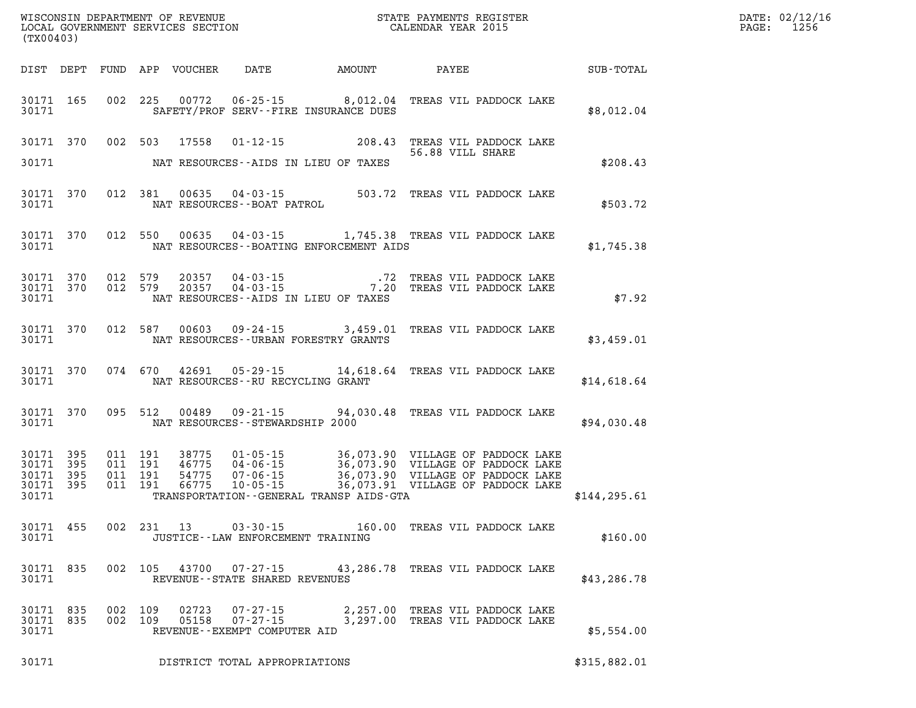| (TX00403)                       |           |  |                                                                                  |                                             | WISCONSIN DEPARTMENT OF REVENUE<br>LOCAL GOVERNMENT SERVICES SECTION TERMS OF CALENDAR YEAR 2015                                                                                                                                                                                                                                           | <b>TER</b>    | DATE: 02/12/16<br>PAGE: 1256 |
|---------------------------------|-----------|--|----------------------------------------------------------------------------------|---------------------------------------------|--------------------------------------------------------------------------------------------------------------------------------------------------------------------------------------------------------------------------------------------------------------------------------------------------------------------------------------------|---------------|------------------------------|
|                                 |           |  |                                                                                  |                                             | DIST DEPT FUND APP VOUCHER DATE AMOUNT PAYEE PAYES                                                                                                                                                                                                                                                                                         |               |                              |
|                                 |           |  |                                                                                  | 30171 SAFETY/PROF SERV--FIRE INSURANCE DUES | 30171 165 002 225 00772 06-25-15 8,012.04 TREAS VIL PADDOCK LAKE                                                                                                                                                                                                                                                                           | \$8,012.04    |                              |
|                                 |           |  |                                                                                  |                                             | 30171 370 002 503 17558 01-12-15 208.43 TREAS VIL PADDOCK LAKE 20171 208.43<br>56.88 VILL SHARE                                                                                                                                                                                                                                            |               |                              |
|                                 |           |  |                                                                                  | 30171 NAT RESOURCES--AIDS IN LIEU OF TAXES  |                                                                                                                                                                                                                                                                                                                                            | \$208.43      |                              |
|                                 |           |  |                                                                                  |                                             | $\begin{tabular}{llllll} 30171 & 370 & 012 & 381 & 00635 & 04-03-15 & 503.72 \end{tabular} \begin{tabular}{llllll} 30171 & 370 & 012 & 381 & 00635 & 04-03-15 & 503.72 & TREAS VIL PADDCK LAKE \\ & \texttt{NAT RESOURCES--BOAT PATROL} & \end{tabular}$                                                                                   | \$503.72      |                              |
|                                 |           |  |                                                                                  |                                             | 30171 370 012 550 00635 04-03-15 1,745.38 TREAS VIL PADDOCK LAKE<br>30171 NAT RESOURCES--BOATING ENFORCEMENT AIDS                                                                                                                                                                                                                          | \$1,745.38    |                              |
|                                 |           |  |                                                                                  | 30171 NAT RESOURCES--AIDS IN LIEU OF TAXES  | $\begin{array}{cccccccc} 30171 & 370 & 012 & 579 & 20357 & 04-03-15 & .72 & \text{TREAS VIL PADDOCK LAKE} \\ 30171 & 370 & 012 & 579 & 20357 & 04-03-15 & .720 & \text{TREAS VIL PADDOCK LAKE} \end{array}$                                                                                                                                | \$7.92        |                              |
|                                 |           |  |                                                                                  | 30171 NAT RESOURCES - URBAN FORESTRY GRANTS | 30171 370 012 587 00603 09-24-15 3,459.01 TREAS VIL PADDOCK LAKE                                                                                                                                                                                                                                                                           | \$3,459.01    |                              |
|                                 |           |  |                                                                                  | 30171 NAT RESOURCES--RU RECYCLING GRANT     | 30171 370 074 670 42691 05-29-15 14,618.64 TREAS VIL PADDOCK LAKE                                                                                                                                                                                                                                                                          | \$14,618.64   |                              |
|                                 |           |  |                                                                                  | 30171 NAT RESOURCES - STEWARDSHIP 2000      | 30171 370 095 512 00489 09-21-15 94,030.48 TREAS VIL PADDOCK LAKE                                                                                                                                                                                                                                                                          | \$94,030.48   |                              |
| 30171                           |           |  |                                                                                  | TRANSPORTATION--GENERAL TRANSP AIDS-GTA     | $\begin{tabular}{cccccc}30171 & 395 & 011 & 191 & 38775 & 01\text{-}05\text{-}15 & 36\text{,}073.90 & \text{VILLAGE OF PADOCK LAKE} \\30171 & 395 & 011 & 191 & 46775 & 04\text{-}06\text{-}15 & 36\text{,}073.90 & \text{VILLAGE OF PADOCK LAKE} \\30171 & 395 & 011 & 191 & 54775 & 07\text{-}06\text{-}15 & 36\text{,}073.90 & \text{V$ | \$144, 295.61 |                              |
|                                 |           |  |                                                                                  |                                             |                                                                                                                                                                                                                                                                                                                                            |               |                              |
| 30171                           |           |  | JUSTICE - - LAW ENFORCEMENT TRAINING                                             |                                             | 30171 455 002 231 13 03-30-15 160.00 TREAS VIL PADDOCK LAKE                                                                                                                                                                                                                                                                                | \$160.00      |                              |
| 30171                           | 30171 835 |  | REVENUE--STATE SHARED REVENUES                                                   |                                             | 002 105 43700 07-27-15 43,286.78 TREAS VIL PADDOCK LAKE                                                                                                                                                                                                                                                                                    | \$43, 286.78  |                              |
| 30171 835<br>30171 835<br>30171 |           |  | 002 109 02723 07-27-15<br>002 109 05158 07-27-15<br>REVENUE--EXEMPT COMPUTER AID |                                             | 2,257.00 TREAS VIL PADDOCK LAKE<br>3,297.00 TREAS VIL PADDOCK LAKE                                                                                                                                                                                                                                                                         | \$5,554.00    |                              |
| 30171                           |           |  | DISTRICT TOTAL APPROPRIATIONS                                                    |                                             |                                                                                                                                                                                                                                                                                                                                            | \$315,882.01  |                              |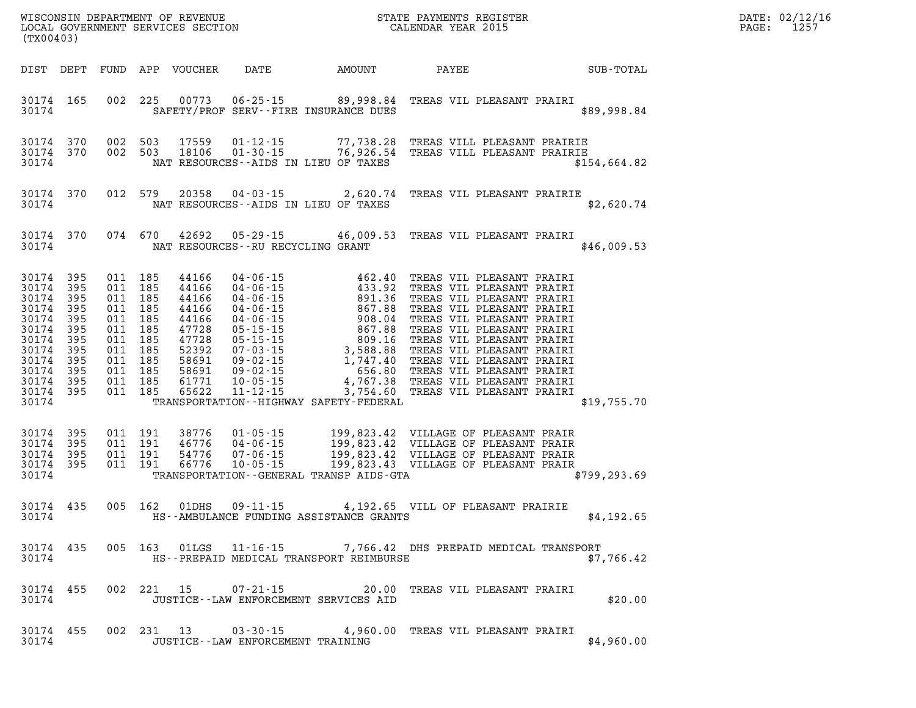| DATE: | 02/12/16 |
|-------|----------|
| PAGE: | 1257     |

| (TX00403)                                                                                                                                                         |                        |  |               | WISCONSIN DEPARTMENT OF REVENUE<br>LOCAL GOVERNMENT SERVICES SECTION CALENDAR YEAR 2015                                                                                                                                                                                              |  |                                 |              | DATE: 02/12/1<br>$\mathtt{PAGE}$ :<br>1257 |
|-------------------------------------------------------------------------------------------------------------------------------------------------------------------|------------------------|--|---------------|--------------------------------------------------------------------------------------------------------------------------------------------------------------------------------------------------------------------------------------------------------------------------------------|--|---------------------------------|--------------|--------------------------------------------|
|                                                                                                                                                                   |                        |  |               |                                                                                                                                                                                                                                                                                      |  |                                 |              |                                            |
| 30174                                                                                                                                                             | 30174 165              |  |               | 002 225 00773 06-25-15 89,998.84 TREAS VIL PLEASANT PRAIRI<br>SAFETY/PROF SERV--FIRE INSURANCE DUES                                                                                                                                                                                  |  |                                 | \$89,998.84  |                                            |
| 30174                                                                                                                                                             | 30174 370<br>30174 370 |  |               | 002 503 17559 01-12-15 77,738.28 TREAS VILL PLEASANT PRAIRIE<br>002 503 18106 01-30-15 76,926.54 TREAS VILL PLEASANT PRAIRIE<br>NAT RESOURCES--AIDS IN LIEU OF TAXES                                                                                                                 |  |                                 | \$154,664.82 |                                            |
|                                                                                                                                                                   | 30174                  |  |               | 30174 370 012 579 20358 04-03-15 2,620.74 TREAS VIL PLEASANT PRAIRIE<br>NAT RESOURCES--AIDS IN LIEU OF TAXES                                                                                                                                                                         |  |                                 | \$2,620.74   |                                            |
|                                                                                                                                                                   |                        |  |               | 30174 370 074 670 42692 05-29-15 46,009.53 TREAS VIL PLEASANT PRAIRI<br>30174 NAT RESOURCES--RU RECYCLING GRANT                                                                                                                                                                      |  |                                 | \$46,009.53  |                                            |
| 30174 395<br>30174 395<br>30174 395<br>30174 395<br>30174 395<br>30174 395<br>30174 395<br>30174 395<br>30174 395<br>30174 395<br>30174 395<br>30174 395<br>30174 |                        |  |               | 011 185 44166 04-06-15 462.40 TREAS VIL PLEASANT PRAIRI<br>011 185 44166 04-06-15 433.92 TREAS VIL PLEASANT PRAIRI<br>011 185 44166 04-06-15 891.36 TREAS VIL PLEASANT PRAIRI<br>011 185 44166 04-06-15 867.88 TREAS VIL PLEASANT P<br>TRANSPORTATION - - HIGHWAY SAFETY - FEDERAL   |  |                                 | \$19,755.70  |                                            |
| 30174 395<br>30174 395<br>30174 395<br>30174 395                                                                                                                  | 30174                  |  |               | 011 191 38776 01-05-15 199,823.42 VILLAGE OF PLEASANT PRAIR<br>011 191 46776 04-06-15 199,823.42 VILLAGE OF PLEASANT PRAIR<br>011 191 54776 07-06-15 199,823.42 VILLAGE OF PLEASANT PRAIR<br>011 191 66776 10-05-15 199,823.43 VILLAGE<br>TRANSPORTATION - - GENERAL TRANSP AIDS-GTA |  |                                 | \$799,293.69 |                                            |
| 30174                                                                                                                                                             | 30174 435              |  | 005 162 01DHS | 09-11-15 4,192.65 VILL OF PLEASANT PRAIRIE<br>HS--AMBULANCE FUNDING ASSISTANCE GRANTS                                                                                                                                                                                                |  |                                 | \$4,192.65   |                                            |
| 30174                                                                                                                                                             | 30174 435              |  |               | 005 163 01LGS 11-16-15 7,766.42 DHS PREPAID MEDICAL TRANSPORT<br>HS--PREPAID MEDICAL TRANSPORT REIMBURSE                                                                                                                                                                             |  |                                 | \$7,766.42   |                                            |
| 30174 455<br>30174                                                                                                                                                |                        |  | 002 221 15    | $07 - 21 - 15$<br>JUSTICE - - LAW ENFORCEMENT SERVICES AID                                                                                                                                                                                                                           |  | 20.00 TREAS VIL PLEASANT PRAIRI | \$20.00      |                                            |
| 30174 455<br>30174                                                                                                                                                |                        |  |               | 002 231 13 03-30-15 4,960.00 TREAS VIL PLEASANT PRAIRI<br>JUSTICE - - LAW ENFORCEMENT TRAINING                                                                                                                                                                                       |  |                                 | \$4,960.00   |                                            |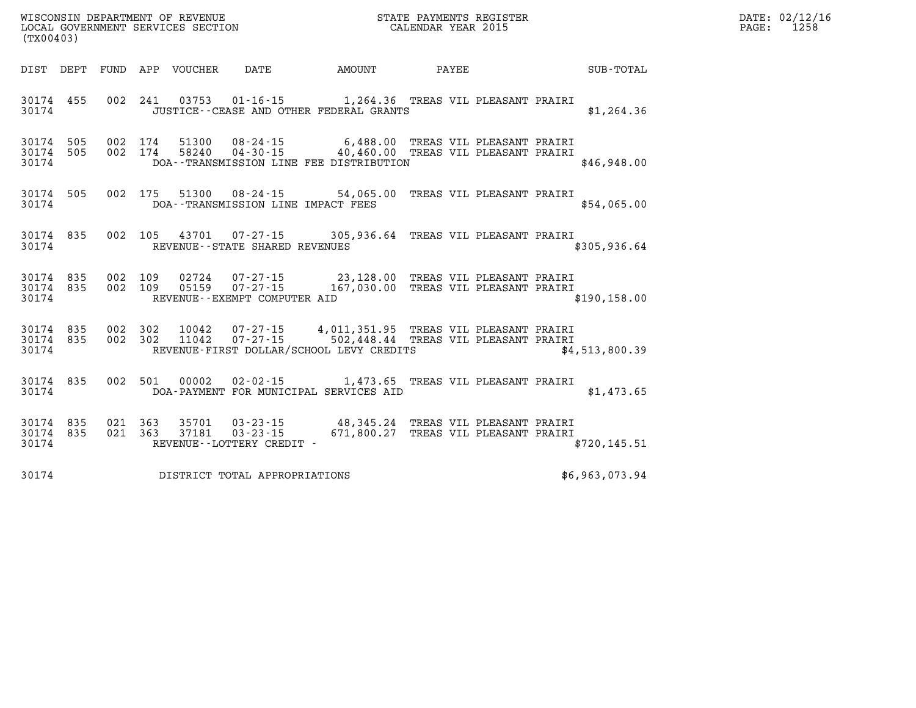| WISCONSIN DEPARTMENT OF REVENUE   | STATE PAYMENTS REGISTER | DATE: 02/12/16 |
|-----------------------------------|-------------------------|----------------|
| LOCAL GOVERNMENT SERVICES SECTION | CALENDAR YEAR 2015      | 1258<br>PAGE:  |

| LOCAL GOVERNMENT SERVICES SECTION<br>(TX00403) |                    |  |  |                         |                               | CALENDAR YEAR 2015                                                                                                                                                                                 |  |  | PAGE:          | 1258 |  |
|------------------------------------------------|--------------------|--|--|-------------------------|-------------------------------|----------------------------------------------------------------------------------------------------------------------------------------------------------------------------------------------------|--|--|----------------|------|--|
|                                                |                    |  |  |                         |                               | DIST DEPT FUND APP VOUCHER DATE AMOUNT PAYEE SUB-TOTAL                                                                                                                                             |  |  |                |      |  |
|                                                | 30174 455<br>30174 |  |  |                         |                               | 002 241 03753 01-16-15 1,264.36 TREAS VIL PLEASANT PRAIRI<br>JUSTICE--CEASE AND OTHER FEDERAL GRANTS                                                                                               |  |  | \$1,264.36     |      |  |
|                                                | 30174              |  |  |                         |                               | 30174 505 002 174 51300 08-24-15 6,488.00 TREAS VIL PLEASANT PRAIRI<br>30174 505 002 174 58240 04-30-15 40,460.00 TREAS VIL PLEASANT PRAIRI<br>DOA--TRANSMISSION LINE FEE DISTRIBUTION             |  |  | \$46,948.00    |      |  |
|                                                |                    |  |  |                         |                               | 30174 505 002 175 51300 08-24-15 54,065.00 TREAS VIL PLEASANT PRAIRI<br>30174 DOA--TRANSMISSION LINE IMPACT FEES                                                                                   |  |  | \$54,065.00    |      |  |
|                                                |                    |  |  |                         |                               | 30174 835 002 105 43701 07-27-15 305,936.64 TREAS VIL PLEASANT PRAIRI<br>30174 REVENUE - STATE SHARED REVENUES                                                                                     |  |  | \$305,936.64   |      |  |
|                                                |                    |  |  |                         |                               | 30174 835 002 109 02724 07-27-15 23,128.00 TREAS VIL PLEASANT PRAIRI<br>30174 835 002 109 05159 07-27-15 167,030.00 TREAS VIL PLEASANT PRAIRI<br>30174 REVENUE--EXEMPT COMPUTER AID                |  |  | \$190.158.00   |      |  |
|                                                |                    |  |  |                         |                               | 30174 835 002 302 10042 07-27-15 4,011,351.95 TREAS VIL PLEASANT PRAIRI<br>30174 835 002 302 11042 07-27-15 502,448.44 TREAS VIL PLEASANT PRAIRI<br>30174 REVENUE-FIRST DOLLAR/SCHOOL LEVY CREDITS |  |  | \$4,513,800.39 |      |  |
|                                                |                    |  |  |                         |                               | 30174 835 002 501 00002 02-02-15 1,473.65 TREAS VIL PLEASANT PRAIRI<br>30174 DOA-PAYMENT FOR MUNICIPAL SERVICES AID                                                                                |  |  | \$1,473.65     |      |  |
| 30174 835                                      | 30174              |  |  | 30174 835 021 363 37181 | REVENUE--LOTTERY CREDIT -     | 021 363 35701 03-23-15 48,345.24 TREAS VIL PLEASANT PRAIRI<br>021 363 37181 03-23-15 671,800.27 TREAS VIL PLEASANT PRAIRI                                                                          |  |  | \$720, 145.51  |      |  |
| 30174                                          |                    |  |  |                         | DISTRICT TOTAL APPROPRIATIONS |                                                                                                                                                                                                    |  |  | \$6,963,073.94 |      |  |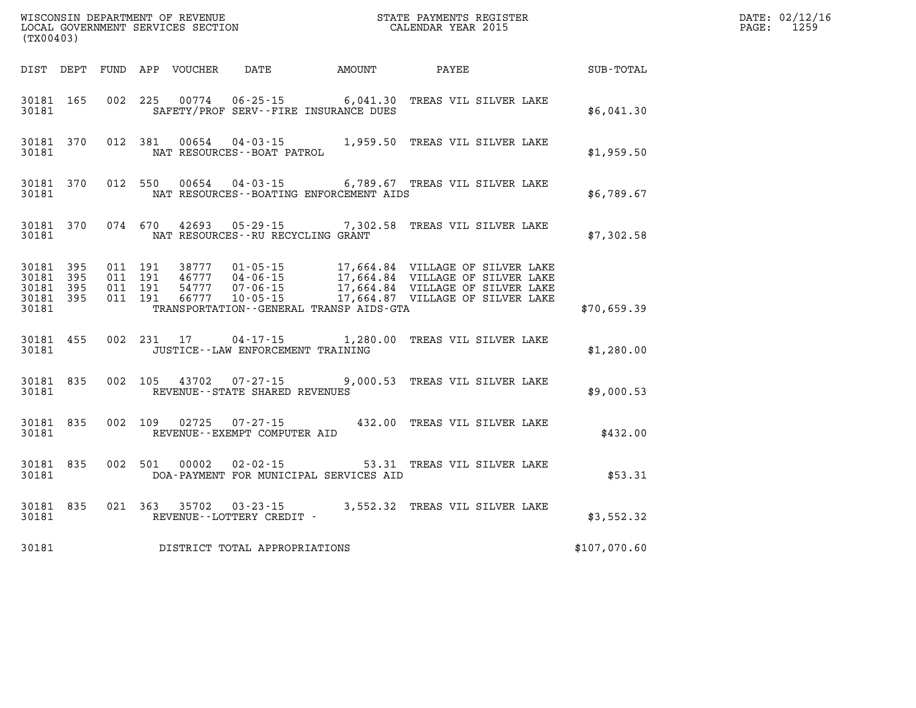| (TX00403)                                    |           |  |                                        | ${\tt WISCONSIM\ DEPARTMENT\ OF\ REVENUE}\qquad \qquad {\tt STATE\ PAYMENTS\ REGISTER}\nonumber\\ {\tt LOCAL\ GOVERNMENT\ SERVICES\ SECTION}\qquad \qquad {\tt CALENDAR\ YEAR\ 2015}$                                                                                                   |                             | $\mathbb{R}^n$ | DATE: 02/12/16<br>1259<br>$\mathtt{PAGE:}$ |
|----------------------------------------------|-----------|--|----------------------------------------|-----------------------------------------------------------------------------------------------------------------------------------------------------------------------------------------------------------------------------------------------------------------------------------------|-----------------------------|----------------|--------------------------------------------|
|                                              |           |  | DIST DEPT FUND APP VOUCHER DATE AMOUNT |                                                                                                                                                                                                                                                                                         | PAYEE                       | SUB-TOTAL      |                                            |
|                                              | 30181     |  |                                        | 30181 165 002 225 00774 06-25-15 6,041.30 TREAS VIL SILVER LAKE<br>SAFETY/PROF SERV--FIRE INSURANCE DUES                                                                                                                                                                                |                             | \$6,041.30     |                                            |
| 30181                                        |           |  | NAT RESOURCES - - BOAT PATROL          | 30181 370 012 381 00654 04-03-15 1,959.50 TREAS VIL SILVER LAKE                                                                                                                                                                                                                         |                             | \$1,959.50     |                                            |
| 30181                                        |           |  |                                        | 30181 370 012 550 00654 04-03-15 6,789.67 TREAS VIL SILVER LAKE<br>NAT RESOURCES--BOATING ENFORCEMENT AIDS                                                                                                                                                                              |                             | \$6,789.67     |                                            |
| 30181                                        |           |  | NAT RESOURCES--RU RECYCLING GRANT      | 30181 370 074 670 42693 05-29-15 7,302.58 TREAS VIL SILVER LAKE                                                                                                                                                                                                                         |                             | \$7,302.58     |                                            |
| 30181 395<br>30181 395<br>30181 395<br>30181 | 30181 395 |  |                                        | 011 191 38777 01-05-15 17,664.84 VILLAGE OF SILVER LAKE<br>011 191 46777 04-06-15 17,664.84 VILLAGE OF SILVER LAKE<br>011 191 66777 10-05-15 17,664.84 VILLAGE OF SILVER LAKE<br>011 191 66777 10-05-15 17,664.87 VILLAGE OF SILVER LAK<br>TRANSPORTATION - - GENERAL TRANSP AIDS - GTA |                             | \$70,659.39    |                                            |
| 30181                                        |           |  | JUSTICE -- LAW ENFORCEMENT TRAINING    | 30181 455 002 231 17 04-17-15 1,280.00 TREAS VIL SILVER LAKE                                                                                                                                                                                                                            |                             | \$1,280.00     |                                            |
| 30181                                        |           |  | REVENUE--STATE SHARED REVENUES         | 30181 835 002 105 43702 07-27-15 9,000.53 TREAS VIL SILVER LAKE                                                                                                                                                                                                                         |                             | \$9,000.53     |                                            |
| 30181                                        |           |  | REVENUE--EXEMPT COMPUTER AID           | 30181 835 002 109 02725 07-27-15 432.00 TREAS VIL SILVER LAKE                                                                                                                                                                                                                           |                             | \$432.00       |                                            |
|                                              | 30181     |  | 30181 835 002 501 00002 02-02-15       | DOA-PAYMENT FOR MUNICIPAL SERVICES AID                                                                                                                                                                                                                                                  | 53.31 TREAS VIL SILVER LAKE | \$53.31        |                                            |
|                                              |           |  | 30181 REVENUE - LOTTERY CREDIT -       | 30181 835 021 363 35702 03-23-15 3,552.32 TREAS VIL SILVER LAKE                                                                                                                                                                                                                         |                             | \$3,552.32     |                                            |
| 30181                                        |           |  | DISTRICT TOTAL APPROPRIATIONS          |                                                                                                                                                                                                                                                                                         |                             | \$107,070.60   |                                            |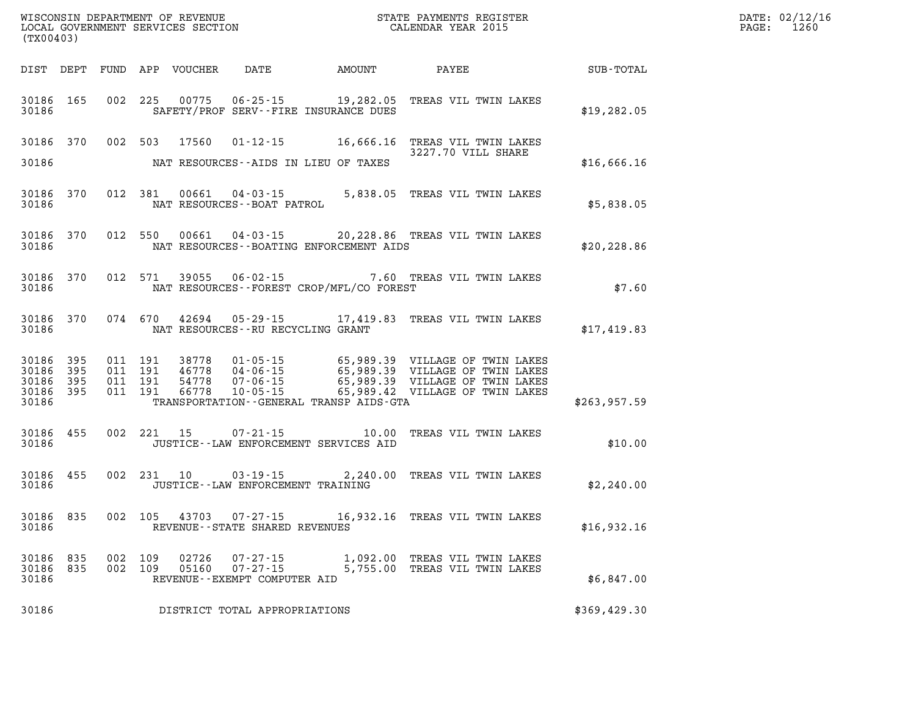| (TX00403)                                                    |                                          | WISCONSIN DEPARTMENT OF REVENUE<br>LOCAL GOVERNMENT SERVICES SECTION                               | STATE PAYMENTS REGISTER<br>CALENDAR YEAR 2015                                                                                                                                                                   |                  | DATE: 02/12/16<br>PAGE: 1260 |
|--------------------------------------------------------------|------------------------------------------|----------------------------------------------------------------------------------------------------|-----------------------------------------------------------------------------------------------------------------------------------------------------------------------------------------------------------------|------------------|------------------------------|
|                                                              |                                          | DIST DEPT FUND APP VOUCHER DATE AMOUNT PAYEE                                                       |                                                                                                                                                                                                                 | <b>SUB-TOTAL</b> |                              |
| 30186 165<br>30186                                           |                                          | 002 225<br>SAFETY/PROF SERV--FIRE INSURANCE DUES                                                   | 00775  06-25-15  19,282.05  TREAS VIL TWIN LAKES                                                                                                                                                                | \$19, 282.05     |                              |
| 30186 370                                                    |                                          | 002 503<br>17560                                                                                   | 01-12-15 16,666.16 TREAS VIL TWIN LAKES<br>3227.70 VILL SHARE                                                                                                                                                   |                  |                              |
| 30186                                                        |                                          | NAT RESOURCES--AIDS IN LIEU OF TAXES                                                               |                                                                                                                                                                                                                 | \$16,666.16      |                              |
| 30186<br>370<br>30186                                        |                                          | 012 381<br>NAT RESOURCES--BOAT PATROL                                                              | 00661  04-03-15  5,838.05  TREAS VIL TWIN LAKES                                                                                                                                                                 | \$5,838.05       |                              |
| 30186 370<br>30186                                           |                                          | 012 550 00661<br>NAT RESOURCES--BOATING ENFORCEMENT AIDS                                           | 04-03-15 20,228.86 TREAS VIL TWIN LAKES                                                                                                                                                                         | \$20, 228.86     |                              |
| 30186 370<br>30186                                           |                                          | 012 571<br>NAT RESOURCES--FOREST CROP/MFL/CO FOREST                                                | 39055  06-02-15  7.60  TREAS VIL TWIN LAKES                                                                                                                                                                     | \$7.60           |                              |
| 30186 370<br>30186                                           |                                          | 074 670<br>NAT RESOURCES--RU RECYCLING GRANT                                                       | 42694  05-29-15  17,419.83  TREAS VIL TWIN LAKES                                                                                                                                                                | \$17,419.83      |                              |
| 30186 395<br>30186<br>395<br>30186 395<br>30186 395<br>30186 | 011 191<br>011 191<br>011 191<br>011 191 | 38778<br>46778<br>54778<br>66778<br>$10 - 05 - 15$<br>TRANSPORTATION - - GENERAL TRANSP AIDS - GTA | 01-05-15 65,989.39 VILLAGE OF TWIN LAKES<br>04-06-15 65,989.39 VILLAGE OF TWIN LAKES<br>07-06-15 65,989.39 VILLAGE OF TWIN LAKES<br>10-05-15 65,989.42 VILLAGE OF TWIN LAKES<br>65,989.42 VILLAGE OF TWIN LAKES | \$263,957.59     |                              |
| 30186 455<br>30186                                           |                                          | 002 221 15 07-21-15 10.00 TREAS VIL TWIN LAKES<br>JUSTICE -- LAW ENFORCEMENT SERVICES AID          |                                                                                                                                                                                                                 | \$10.00          |                              |
| 30186 455<br>30186                                           |                                          | $03 - 19 - 15$<br>002 231 10<br>JUSTICE - - LAW ENFORCEMENT TRAINING                               | 2,240.00 TREAS VIL TWIN LAKES                                                                                                                                                                                   | \$2,240.00       |                              |
| 30186 835<br>30186                                           |                                          | 002 105<br>REVENUE--STATE SHARED REVENUES                                                          | 43703 07-27-15 16,932.16 TREAS VIL TWIN LAKES                                                                                                                                                                   | \$16,932.16      |                              |
| 30186 835<br>30186 835<br>30186                              | 002 109                                  | 02726<br>07-27-15<br>002 109<br>$07 - 27 - 15$<br>05160<br>REVENUE--EXEMPT COMPUTER AID            | 1,092.00 TREAS VIL TWIN LAKES<br>5,755.00 TREAS VIL TWIN LAKES                                                                                                                                                  | \$6,847.00       |                              |
| 30186                                                        |                                          | DISTRICT TOTAL APPROPRIATIONS                                                                      |                                                                                                                                                                                                                 | \$369,429.30     |                              |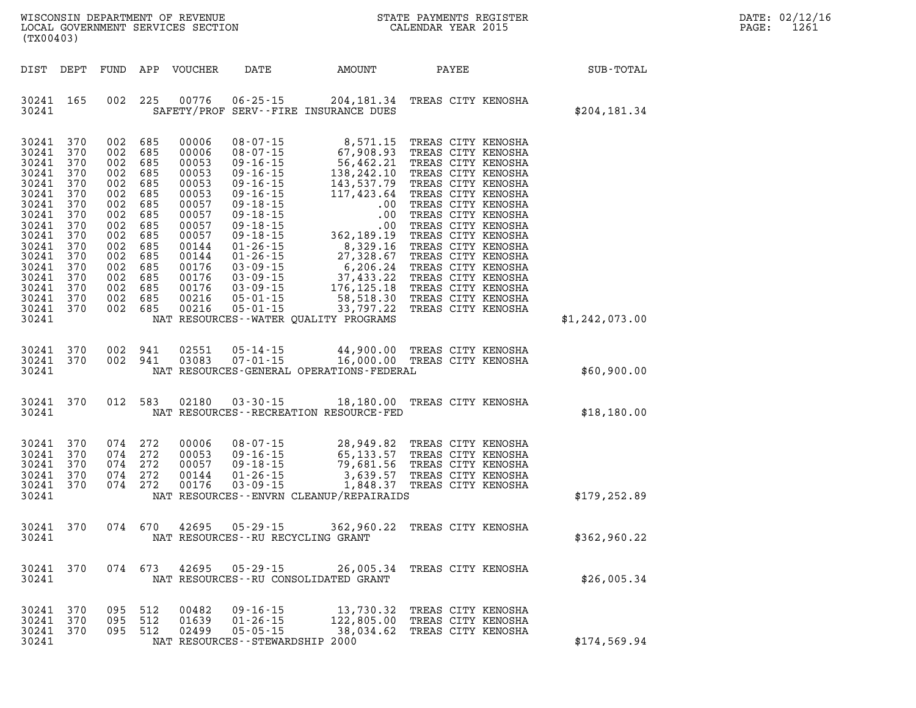| $\mathtt{DATE}$ : | 02/12/16 |
|-------------------|----------|
| PAGE:             | 1261     |

| (TX00403)                                                                                                                                                                                                          |                          |                                                                                                                                                                                         |                                                                                                                                                       |                                                                                          | WISCONSIN DEPARTMENT OF REVENUE<br>LOCAL GOVERNMENT SERVICES SECTION<br>(WYOOLO?)                                                                                                                                                                                                |  |                             | DATE: 02/12/1<br>PAGE:<br>1261 |
|--------------------------------------------------------------------------------------------------------------------------------------------------------------------------------------------------------------------|--------------------------|-----------------------------------------------------------------------------------------------------------------------------------------------------------------------------------------|-------------------------------------------------------------------------------------------------------------------------------------------------------|------------------------------------------------------------------------------------------|----------------------------------------------------------------------------------------------------------------------------------------------------------------------------------------------------------------------------------------------------------------------------------|--|-----------------------------|--------------------------------|
| DIST DEPT                                                                                                                                                                                                          |                          |                                                                                                                                                                                         | FUND APP VOUCHER                                                                                                                                      |                                                                                          |                                                                                                                                                                                                                                                                                  |  | DATE AMOUNT PAYEE SUB-TOTAL |                                |
| 30241 165<br>30241                                                                                                                                                                                                 |                          | 002 225                                                                                                                                                                                 |                                                                                                                                                       |                                                                                          | 00776  06-25-15  204,181.34  TREAS CITY KENOSHA<br>SAFETY/PROF SERV--FIRE INSURANCE DUES                                                                                                                                                                                         |  | \$204, 181.34               |                                |
| 30241 370<br>30241 370<br>30241<br>30241 370<br>30241<br>30241 370<br>30241<br>30241 370<br>30241<br>30241 370<br>30241 370<br>30241 370<br>30241 370<br>30241 370<br>30241 370<br>30241 370<br>30241 370<br>30241 | 370<br>370<br>370<br>370 | 002 685<br>002 685<br>002 685<br>002 685<br>002 685<br>002 685<br>002 685<br>002 685<br>002 685<br>002 685<br>002 685<br>002 685<br>002 685<br>002 685<br>002 685<br>002 685<br>002 685 | 00006<br>00006<br>00053<br>00053<br>00053<br>00053<br>00057<br>00057<br>00057<br>00057<br>00144<br>00144<br>00176<br>00176<br>00176<br>00216<br>00216 |                                                                                          | 08-07-15 8,571.15 TREAS CITY KENOSHA<br>08-07-15 67,908.93 TREAS CITY KENOSHA<br>09-16-15 56,462.21 TREAS CITY KENOSHA<br>09-16-15 138,242.10 TREAS CITY KENOSHA<br>09-16-15 143,537.79 TREAS CITY KENOSHA<br>09-16-15 117,423.64 TREAS<br>NAT RESOURCES--WATER QUALITY PROGRAMS |  | \$1,242,073.00              |                                |
| 30241 370<br>30241                                                                                                                                                                                                 | 30241 370                | 002 941                                                                                                                                                                                 | 02551<br>002 941 03083                                                                                                                                |                                                                                          | 05-14-15 44,900.00 TREAS CITY KENOSHA<br>07-01-15 16,000.00 TREAS CITY KENOSHA<br>NAT RESOURCES-GENERAL OPERATIONS-FEDERAL                                                                                                                                                       |  | \$60,900.00                 |                                |
| 30241                                                                                                                                                                                                              | 30241 370                |                                                                                                                                                                                         |                                                                                                                                                       |                                                                                          | 012 583 02180 03-30-15 18,180.00 TREAS CITY KENOSHA<br>NAT RESOURCES - - RECREATION RESOURCE - FED                                                                                                                                                                               |  | \$18,180.00                 |                                |
| 30241 370<br>30241<br>30241 370<br>30241 370<br>30241 370<br>30241                                                                                                                                                 | 370                      | 074 272<br>074 272<br>074 272<br>074 272<br>074 272                                                                                                                                     | 00006<br>00053<br>00057<br>00144<br>00176                                                                                                             |                                                                                          | 08-07-15<br>09-16-15<br>09-16-15<br>09-18-15<br>79,681.56 TREAS CITY KENOSHA<br>01-26-15<br>3,639.57 TREAS CITY KENOSHA<br>03-09-15<br>1,848.37 TREAS CITY KENOSHA<br>NAT RESOURCES - - ENVRN CLEANUP/REPAIRAIDS                                                                 |  | \$179, 252.89               |                                |
| 30241                                                                                                                                                                                                              |                          |                                                                                                                                                                                         |                                                                                                                                                       | NAT RESOURCES - - RU RECYCLING GRANT                                                     | 30241 370 074 670 42695 05-29-15 362,960.22 TREAS CITY KENOSHA                                                                                                                                                                                                                   |  | \$362,960.22                |                                |
| 30241                                                                                                                                                                                                              | 30241 370                |                                                                                                                                                                                         |                                                                                                                                                       | 074 673 42695 05-29-15                                                                   | 26,005.34 TREAS CITY KENOSHA<br>NAT RESOURCES - - RU CONSOLIDATED GRANT                                                                                                                                                                                                          |  | \$26,005.34                 |                                |
| 30241 370<br>30241<br>30241 370<br>30241                                                                                                                                                                           | 370                      | 095 512<br>095 512<br>095 512                                                                                                                                                           | 00482<br>01639<br>02499                                                                                                                               | $09 - 16 - 15$<br>$01 - 26 - 15$<br>$05 - 05 - 15$<br>NAT RESOURCES - - STEWARDSHIP 2000 | 13,730.32 TREAS CITY KENOSHA<br>122,805.00 TREAS CITY KENOSHA<br>38,034.62 TREAS CITY KENOSHA                                                                                                                                                                                    |  | \$174,569.94                |                                |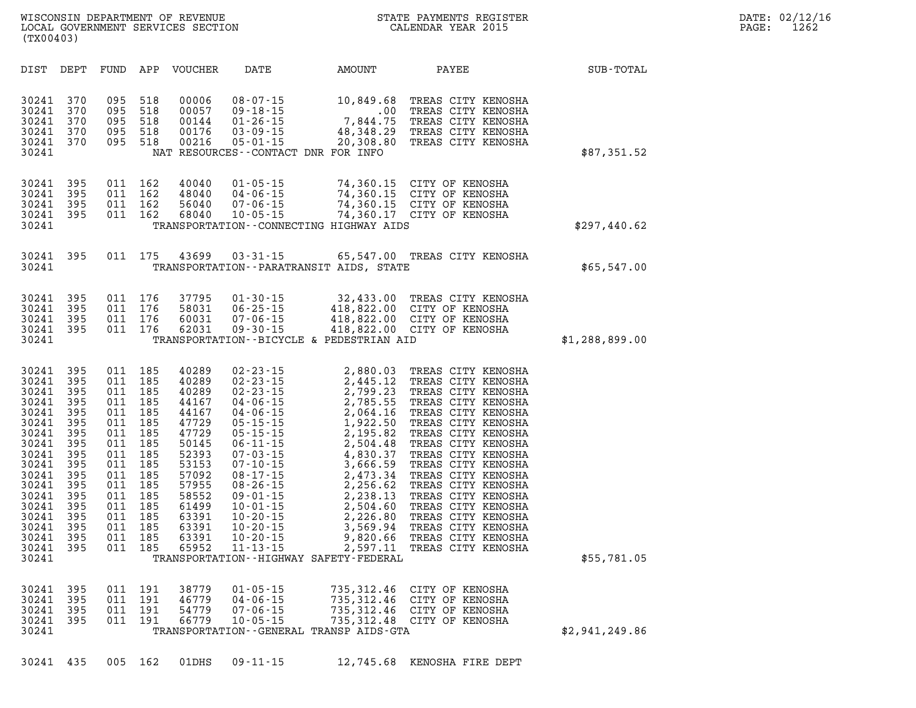| DIST                                                                                                                                                                    | DEPT                                                                                                                       | FUND                                                                                                                       | APP                                                                                                                        | <b>VOUCHER</b>                                                                                                                                                 | DATE                                                                                                                                                                                                                                                                                                                             | <b>AMOUNT</b>                                                                                                                                                                                                                                                       | PAYEE                                                                                                                                                                                                                                                                                                                                                                                                    | SUB-TOTAL      |
|-------------------------------------------------------------------------------------------------------------------------------------------------------------------------|----------------------------------------------------------------------------------------------------------------------------|----------------------------------------------------------------------------------------------------------------------------|----------------------------------------------------------------------------------------------------------------------------|----------------------------------------------------------------------------------------------------------------------------------------------------------------|----------------------------------------------------------------------------------------------------------------------------------------------------------------------------------------------------------------------------------------------------------------------------------------------------------------------------------|---------------------------------------------------------------------------------------------------------------------------------------------------------------------------------------------------------------------------------------------------------------------|----------------------------------------------------------------------------------------------------------------------------------------------------------------------------------------------------------------------------------------------------------------------------------------------------------------------------------------------------------------------------------------------------------|----------------|
| 30241<br>30241<br>30241<br>30241<br>30241<br>30241                                                                                                                      | 370<br>370<br>370<br>370<br>370                                                                                            | 095<br>095<br>095<br>095<br>095                                                                                            | 518<br>518<br>518<br>518<br>518                                                                                            | 00006<br>00057<br>00144<br>00176<br>00216                                                                                                                      | $08 - 07 - 15$<br>$09 - 18 - 15$<br>$01 - 26 - 15$<br>$03 - 09 - 15$<br>$05 - 01 - 15$<br>NAT RESOURCES - CONTACT DNR FOR INFO                                                                                                                                                                                                   | 10,849.68<br>.00<br>7,844.75<br>48,348.29<br>20,308.80                                                                                                                                                                                                              | TREAS CITY KENOSHA<br>TREAS CITY KENOSHA<br>TREAS CITY KENOSHA<br>TREAS CITY KENOSHA<br>TREAS CITY KENOSHA                                                                                                                                                                                                                                                                                               | \$87,351.52    |
| 30241<br>30241<br>30241<br>30241<br>30241                                                                                                                               | 395<br>395<br>395<br>395                                                                                                   | 011<br>011<br>011<br>011                                                                                                   | 162<br>162<br>162<br>162                                                                                                   | 40040<br>48040<br>56040<br>68040                                                                                                                               | $01 - 05 - 15$<br>$04 - 06 - 15$<br>$07 - 06 - 15$<br>$10 - 05 - 15$                                                                                                                                                                                                                                                             | 74,360.15<br>74,360.15<br>74,360.15<br>74,360.17<br>TRANSPORTATION--CONNECTING HIGHWAY AIDS                                                                                                                                                                         | CITY OF KENOSHA<br>CITY OF KENOSHA<br>CITY OF KENOSHA<br>CITY OF KENOSHA                                                                                                                                                                                                                                                                                                                                 | \$297,440.62   |
| 30241<br>30241                                                                                                                                                          | 395                                                                                                                        | 011                                                                                                                        | 175                                                                                                                        | 43699                                                                                                                                                          | $03 - 31 - 15$                                                                                                                                                                                                                                                                                                                   | 65,547.00<br>TRANSPORTATION--PARATRANSIT AIDS, STATE                                                                                                                                                                                                                | TREAS CITY KENOSHA                                                                                                                                                                                                                                                                                                                                                                                       | \$65,547.00    |
| 30241<br>30241<br>30241<br>30241<br>30241                                                                                                                               | 395<br>395<br>395<br>395                                                                                                   | 011<br>011<br>011<br>011                                                                                                   | 176<br>176<br>176<br>176                                                                                                   | 37795<br>58031<br>60031<br>62031                                                                                                                               | $01 - 30 - 15$<br>$06 - 25 - 15$<br>$07 - 06 - 15$<br>$09 - 30 - 15$                                                                                                                                                                                                                                                             | 32,433.00<br>418,822.00<br>418,822.00<br>418,822.00<br>TRANSPORTATION--BICYCLE & PEDESTRIAN AID                                                                                                                                                                     | TREAS CITY KENOSHA<br>CITY OF KENOSHA<br>CITY OF KENOSHA<br>CITY OF KENOSHA                                                                                                                                                                                                                                                                                                                              | \$1,288,899.00 |
| 30241<br>30241<br>30241<br>30241<br>30241<br>30241<br>30241<br>30241<br>30241<br>30241<br>30241<br>30241<br>30241<br>30241<br>30241<br>30241<br>30241<br>30241<br>30241 | 395<br>395<br>395<br>395<br>395<br>395<br>395<br>395<br>395<br>395<br>395<br>395<br>395<br>395<br>395<br>395<br>395<br>395 | 011<br>011<br>011<br>011<br>011<br>011<br>011<br>011<br>011<br>011<br>011<br>011<br>011<br>011<br>011<br>011<br>011<br>011 | 185<br>185<br>185<br>185<br>185<br>185<br>185<br>185<br>185<br>185<br>185<br>185<br>185<br>185<br>185<br>185<br>185<br>185 | 40289<br>40289<br>40289<br>44167<br>44167<br>47729<br>47729<br>50145<br>52393<br>53153<br>57092<br>57955<br>58552<br>61499<br>63391<br>63391<br>63391<br>65952 | $02 - 23 - 15$<br>$02 - 23 - 15$<br>$02 - 23 - 15$<br>$04 - 06 - 15$<br>$04 - 06 - 15$<br>$05 - 15 - 15$<br>$05 - 15 - 15$<br>$06 - 11 - 15$<br>$07 - 03 - 15$<br>$07 - 10 - 15$<br>$08 - 17 - 15$<br>$08 - 26 - 15$<br>$09 - 01 - 15$<br>$10 - 01 - 15$<br>$10 - 20 - 15$<br>$10 - 20 - 15$<br>$10 - 20 - 15$<br>$11 - 13 - 15$ | 2,880.03<br>2,445.12<br>2,799.23<br>2,785.55<br>2,064.16<br>1,922.50<br>2,195.82<br>2,504.48<br>4,830.37<br>3,666.59<br>2,473.34<br>2,256.62<br>2,238.13<br>2,504.60<br>2,226.80<br>3,569.94<br>9,820.66<br>2,597.11<br>TRANSPORTATION - - HIGHWAY SAFETY - FEDERAL | TREAS CITY KENOSHA<br>TREAS CITY KENOSHA<br>TREAS CITY KENOSHA<br>TREAS CITY KENOSHA<br>TREAS CITY KENOSHA<br>TREAS CITY KENOSHA<br>TREAS CITY KENOSHA<br>TREAS CITY KENOSHA<br>TREAS CITY KENOSHA<br>TREAS CITY KENOSHA<br>TREAS CITY KENOSHA<br>TREAS CITY KENOSHA<br>TREAS CITY KENOSHA<br>TREAS CITY KENOSHA<br>TREAS CITY KENOSHA<br>TREAS CITY KENOSHA<br>TREAS CITY KENOSHA<br>TREAS CITY KENOSHA | \$55,781.05    |
| 30241<br>30241<br>30241<br>30241<br>30241                                                                                                                               | 395<br>395<br>395<br>395                                                                                                   | 011<br>011<br>011<br>011                                                                                                   | 191<br>191<br>191<br>191                                                                                                   | 38779<br>46779<br>54779<br>66779                                                                                                                               | $01 - 05 - 15$<br>$04 - 06 - 15$<br>$07 - 06 - 15$<br>$10 - 05 - 15$                                                                                                                                                                                                                                                             | 735, 312.46<br>735, 312.46<br>735,312.46<br>735, 312.48<br>TRANSPORTATION--GENERAL TRANSP AIDS-GTA                                                                                                                                                                  | CITY OF KENOSHA<br>CITY OF KENOSHA<br>CITY OF KENOSHA<br>CITY OF KENOSHA                                                                                                                                                                                                                                                                                                                                 | \$2,941,249.86 |

**30241 435 005 162 01DHS 09-11-15 12,745.68 KENOSHA FIRE DEPT**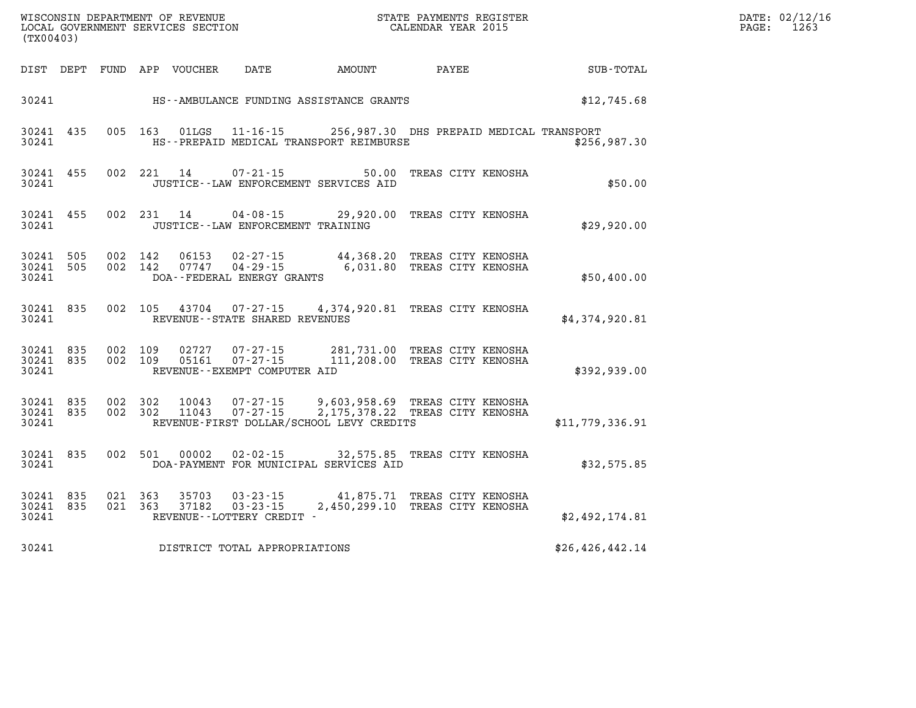| $\mathtt{DATE}$ : | 02/12/16 |
|-------------------|----------|
| PAGE:             | 1263     |

| (TX00403)                       |  |                    | LOCAL GOVERNMENT SERVICES SECTION |                                     | CALENDAR YEAR 2015                                                                                               |                          |                        | PAGE: | 1263 |
|---------------------------------|--|--------------------|-----------------------------------|-------------------------------------|------------------------------------------------------------------------------------------------------------------|--------------------------|------------------------|-------|------|
|                                 |  |                    | DIST DEPT FUND APP VOUCHER        | <b>DATE</b>                         |                                                                                                                  |                          | AMOUNT PAYEE SUB-TOTAL |       |      |
|                                 |  |                    |                                   |                                     | 30241 HS--AMBULANCE FUNDING ASSISTANCE GRANTS                                                                    |                          | \$12,745.68            |       |      |
| 30241 435<br>30241              |  |                    |                                   |                                     | 005 163 01LGS 11-16-15 256,987.30 DHS PREPAID MEDICAL TRANSPORT<br>HS--PREPAID MEDICAL TRANSPORT REIMBURSE       |                          | \$256,987.30           |       |      |
| 30241 455<br>30241              |  |                    | 002 221 14                        | $07 - 21 - 15$                      | JUSTICE -- LAW ENFORCEMENT SERVICES AID                                                                          | 50.00 TREAS CITY KENOSHA | \$50.00                |       |      |
| 30241 455<br>30241              |  |                    |                                   | JUSTICE -- LAW ENFORCEMENT TRAINING | 002 231 14 04-08-15 29,920.00 TREAS CITY KENOSHA                                                                 |                          | \$29,920.00            |       |      |
| 30241 505<br>30241 505<br>30241 |  |                    |                                   | DOA--FEDERAL ENERGY GRANTS          | 002 142 06153 02-27-15 44,368.20 TREAS CITY KENOSHA<br>002 142 07747 04-29-15 6,031.80 TREAS CITY KENOSHA        |                          | \$50,400.00            |       |      |
| 30241 835<br>30241              |  |                    |                                   | REVENUE--STATE SHARED REVENUES      | 002 105 43704 07-27-15 4,374,920.81 TREAS CITY KENOSHA                                                           |                          | \$4,374,920.81         |       |      |
| 30241 835<br>30241 835<br>30241 |  | 002 109<br>002 109 |                                   | REVENUE--EXEMPT COMPUTER AID        | 02727  07-27-15  281,731.00 TREAS CITY KENOSHA<br>05161  07-27-15  111,208.00 TREAS CITY KENOSHA                 |                          | \$392,939.00           |       |      |
| 30241 835<br>30241 835<br>30241 |  | 002 302            | 10043<br>002 302 11043            | 07-27-15<br>$07 - 27 - 15$          | 9,603,958.69 TREAS CITY KENOSHA<br>2, 175, 378.22 TREAS CITY KENOSHA<br>REVENUE-FIRST DOLLAR/SCHOOL LEVY CREDITS |                          | \$11,779,336.91        |       |      |
| 30241 835<br>30241              |  | 002 501            |                                   |                                     | 00002  02-02-15  32,575.85  TREAS CITY KENOSHA<br>DOA-PAYMENT FOR MUNICIPAL SERVICES AID                         |                          | \$32,575.85            |       |      |
| 30241 835<br>30241 835<br>30241 |  | 021 363<br>021 363 |                                   | REVENUE--LOTTERY CREDIT -           | 35703 03-23-15 41,875.71 TREAS CITY KENOSHA<br>37182  03-23-15  2,450,299.10 TREAS CITY KENOSHA                  |                          | \$2,492,174.81         |       |      |
| 30241                           |  |                    |                                   | DISTRICT TOTAL APPROPRIATIONS       |                                                                                                                  |                          | \$26, 426, 442.14      |       |      |

WISCONSIN DEPARTMENT OF REVENUE **STATE PAYMENTS REGISTER**